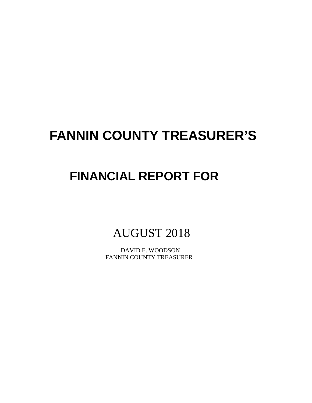# **FANNIN COUNTY TREASURER'S**

## **FINANCIAL REPORT FOR**

AUGUST 2018

 DAVID E. WOODSON FANNIN COUNTY TREASURER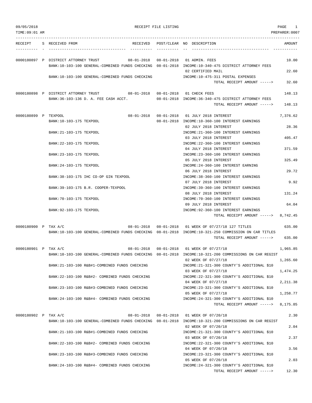| 09/05/2018           | RECEIPT FILE LISTING                                                                                                                        |  | PAGE<br>$\mathbf{1}$                                                                                            |                |
|----------------------|---------------------------------------------------------------------------------------------------------------------------------------------|--|-----------------------------------------------------------------------------------------------------------------|----------------|
| TIME: 09:01 AM       |                                                                                                                                             |  |                                                                                                                 | PREPARER: 0007 |
| RECEIPT              | S RECEIVED FROM                                                                                                                             |  | RECEIVED POST/CLEAR NO DESCRIPTION                                                                              | AMOUNT         |
|                      | 0000180897 P DISTRICT ATTORNEY TRUST<br>BANK:10-103-100 GENERAL-COMBINED FUNDS CHECKING 08-01-2018 INCOME:10-340-475 DISTRICT ATTORNEY FEES |  | 08-01-2018  08-01-2018  01 ADMIN. FEES                                                                          | 10.00          |
|                      | BANK:10-103-100 GENERAL-COMBINED FUNDS CHECKING                                                                                             |  | 02 CERTIFIED MAIL<br>INCOME:10-475-311 POSTAL EXPENSES<br>TOTAL RECEIPT AMOUNT ----->                           | 22.60<br>32.60 |
|                      | 0000180898 P DISTRICT ATTORNEY TRUST 08-01-2018 08-01-2018 01 CHECK FEES                                                                    |  |                                                                                                                 | 148.13         |
|                      | BANK: 36-103-136 D. A. FEE CASH ACCT.                                                                                                       |  | 08-01-2018 INCOME:36-340-475 DISTRICT ATTORNEY FEES<br>TOTAL RECEIPT AMOUNT ----->                              | 148.13         |
| 0000180899 P TEXPOOL |                                                                                                                                             |  | 08-01-2018  08-01-2018  01  JULY  2018 INTEREST                                                                 | 7,376.62       |
|                      | BANK:10-103-175 TEXPOOL<br>BANK: 21-103-175 TEXPOOL                                                                                         |  | 08-01-2018 INCOME:10-360-100 INTEREST EARNINGS<br>02 JULY 2018 INTEREST<br>INCOME: 21-360-100 INTEREST EARNINGS | 28.36          |
|                      | BANK: 22-103-175 TEXPOOL                                                                                                                    |  | 03 JULY 2018 INTEREST<br>INCOME: 22-360-100 INTEREST EARNINGS                                                   | 405.47         |
|                      | BANK: 23-103-175 TEXPOOL                                                                                                                    |  | 04 JULY 2018 INTEREST<br>INCOME: 23-360-100 INTEREST EARNINGS                                                   | 371.59         |
|                      | BANK: 24-103-175 TEXPOOL                                                                                                                    |  | 05 JULY 2018 INTEREST<br>INCOME: 24-360-100 INTEREST EARNING                                                    | 325.49         |
|                      | BANK:38-103-175 IHC CO-OP GIN TEXPOOL                                                                                                       |  | 06 JULY 2018 INTEREST<br>INCOME: 38-360-100 INTEREST EARNINGS                                                   | 29.72          |
|                      | BANK: 39-103-175 B.R. COOPER-TEXPOOL                                                                                                        |  | 07 JULY 2018 INTEREST<br>INCOME: 39-360-100 INTEREST EARNINGS                                                   | 9.92           |
|                      | BANK: 70-103-175 TEXPOOL                                                                                                                    |  | 08 JULY 2018 INTEREST<br>INCOME: 70-360-100 INTEREST EARNINGS                                                   | 131.24         |
|                      | BANK: 92-103-175 TEXPOOL                                                                                                                    |  | 09 JULY 2018 INTEREST<br>INCOME: 92-360-100 INTEREST EARNINGS                                                   | 64.04          |
|                      |                                                                                                                                             |  | TOTAL RECEIPT AMOUNT -----> 8,742.45                                                                            |                |
| 0000180900 P TAX A/C | BANK:10-103-100 GENERAL-COMBINED FUNDS CHECKING 08-01-2018 INCOME:10-321-250 COMMISSION ON CAR TITLES                                       |  | 08-01-2018  08-01-2018  01 WEEK OF 07/27/18  127 TITLES                                                         | 635.00         |
|                      |                                                                                                                                             |  | TOTAL RECEIPT AMOUNT ----->                                                                                     | 635.00         |
| 0000180901 P TAX A/C | BANK:10-103-100 GENERAL-COMBINED FUNDS CHECKING 08-01-2018 INCOME:10-321-200 COMMISSIONS ON CAR REGIST                                      |  | 08-01-2018  08-01-2018  01 WEEK OF 07/27/18                                                                     | 1,965.85       |
|                      | BANK: 21-103-100 R&B#1-COMBINED FUNDS CHECKING                                                                                              |  | 02 WEEK OF 07/27/18<br>INCOME: 21-321-300 COUNTY'S ADDITIONAL \$10                                              | 1,265.60       |
|                      | BANK: 22-103-100 R&B#2- COMBINED FUNDS CHECKING                                                                                             |  | 03 WEEK OF 07/27/18<br>INCOME: 22-321-300 COUNTY'S ADDITIONAL \$10                                              | 1,474.25       |
|                      | BANK: 23-103-100 R&B#3-COMBINED FUNDS CHECKING                                                                                              |  | 04 WEEK OF 07/27/18<br>INCOME: 23-321-300 COUNTY'S ADDITIONAL \$10                                              | 2,211.38       |
|                      | BANK: 24-103-100 R&B#4- COMBINED FUNDS CHECKING                                                                                             |  | 05 WEEK OF 07/27/18<br>INCOME: 24-321-300 COUNTY'S ADDITIONAL \$10                                              | 1,258.77       |
|                      |                                                                                                                                             |  | TOTAL RECEIPT AMOUNT ----->                                                                                     | 8,175.85       |
| 0000180902 P TAX A/C | BANK:10-103-100 GENERAL-COMBINED FUNDS CHECKING 08-01-2018 INCOME:10-321-200 COMMISSIONS ON CAR REGIST                                      |  | 08-01-2018  08-01-2018  01 WEEK OF 07/20/18                                                                     | 2.30           |
|                      | BANK: 21-103-100 R&B#1-COMBINED FUNDS CHECKING                                                                                              |  | 02 WEEK OF 07/20/18<br>INCOME: 21-321-300 COUNTY'S ADDITIONAL \$10                                              | 2.04           |
|                      | BANK: 22-103-100 R&B#2- COMBINED FUNDS CHECKING                                                                                             |  | 03 WEEK OF 07/20/18<br>INCOME: 22-321-300 COUNTY'S ADDITIONAL \$10                                              | 2.37           |
|                      | BANK: 23-103-100 R&B#3-COMBINED FUNDS CHECKING                                                                                              |  | 04 WEEK OF 07/20/18<br>INCOME: 23-321-300 COUNTY'S ADDITIONAL \$10                                              | 3.56           |
|                      | BANK: 24-103-100 R&B#4- COMBINED FUNDS CHECKING                                                                                             |  | 05 WEEK OF 07/20/18<br>INCOME: 24-321-300 COUNTY'S ADDITIONAL \$10                                              | 2.03           |
|                      |                                                                                                                                             |  | TOTAL RECEIPT AMOUNT ----->                                                                                     | 12.30          |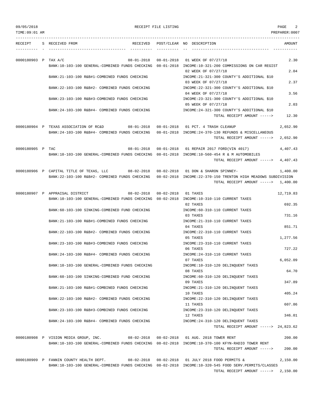TIME:09:01 AM PREPARER:0007

| RECEIPT              | S RECEIVED FROM                                                                                                                             | RECEIVED POST/CLEAR NO DESCRIPTION<br>AMOUNT                                                                                                         |
|----------------------|---------------------------------------------------------------------------------------------------------------------------------------------|------------------------------------------------------------------------------------------------------------------------------------------------------|
|                      |                                                                                                                                             |                                                                                                                                                      |
| 0000180903 P TAX A/C | $08 - 01 - 2018$ $08 - 01 - 2018$<br>BANK:10-103-100 GENERAL-COMBINED FUNDS CHECKING 08-01-2018 INCOME:10-321-200 COMMISSIONS ON CAR REGIST | 01 WEEK OF 07/27/18<br>2.30                                                                                                                          |
|                      | BANK: 21-103-100 R&B#1-COMBINED FUNDS CHECKING                                                                                              | 02 WEEK OF 07/27/18<br>2.04<br>INCOME: 21-321-300 COUNTY'S ADDITIONAL \$10                                                                           |
|                      |                                                                                                                                             | 2.37<br>03 WEEK OF 07/27/18                                                                                                                          |
|                      | BANK: 22-103-100 R&B#2- COMBINED FUNDS CHECKING                                                                                             | INCOME: 22-321-300 COUNTY'S ADDITIONAL \$10<br>04 WEEK OF 07/27/18<br>3.56                                                                           |
|                      | BANK: 23-103-100 R&B#3-COMBINED FUNDS CHECKING                                                                                              | INCOME: 23-321-300 COUNTY'S ADDITIONAL \$10<br>05 WEEK OF 07/27/18<br>2.03                                                                           |
|                      | BANK: 24-103-100 R&B#4- COMBINED FUNDS CHECKING                                                                                             | INCOME: 24-321-300 COUNTY'S ADDITIONAL \$10<br>12.30<br>TOTAL RECEIPT AMOUNT ----->                                                                  |
|                      | 0000180904 P TEXAS ASSOCIATION OF RC&D 08-01-2018 08-01-2018 01 PCT. 4 TRASH CLEANUP                                                        | 2,652.90                                                                                                                                             |
|                      | BANK:24-103-100 R&B#4- COMBINED FUNDS CHECKING 08-01-2018 INCOME:24-370-130 REFUNDS & MISCELLANEOUS                                         | TOTAL RECEIPT AMOUNT -----><br>2,652.90                                                                                                              |
|                      |                                                                                                                                             |                                                                                                                                                      |
| 0000180905 P TAC     | BANK:10-103-100 GENERAL-COMBINED FUNDS CHECKING 08-01-2018 INCOME:10-560-454 R & M AUTOMOBILES                                              | 08-01-2018  08-01-2018  01 REPAIR  2017  FORD(VIN 4017)<br>4,407.43                                                                                  |
|                      |                                                                                                                                             | 4,407.43<br>TOTAL RECEIPT AMOUNT ----->                                                                                                              |
|                      | 0000180906 P CAPITAL TITLE OF TEXAS, LLC 08-02-2018 08-02-2018 01 DON & SHARON SPINNEY-                                                     | 1,400.00                                                                                                                                             |
|                      |                                                                                                                                             | BANK:22-103-100 R&B#2- COMBINED FUNDS CHECKING 08-02-2018 INCOME:22-370-150 TRENTON HIGH MEADOWS SUBDIVISION<br>TOTAL RECEIPT AMOUNT -----> 1,400.00 |
|                      | 0000180907 P APPRAISAL DISTRICT<br>08-02-2018  08-02-2018  01 TAXES                                                                         | 12,719.83                                                                                                                                            |
|                      | BANK:10-103-100 GENERAL-COMBINED FUNDS CHECKING 08-02-2018 INCOME:10-310-110 CURRENT TAXES                                                  | 692.35<br>02 TAXES                                                                                                                                   |
|                      | BANK:60-103-100 SINKING-COMBINED FUND CHECKING                                                                                              | INCOME: 60-310-110 CURRENT TAXES<br>03 TAXES<br>731.16                                                                                               |
|                      | BANK: 21-103-100 R&B#1-COMBINED FUNDS CHECKING                                                                                              | INCOME: 21-310-110 CURRENT TAXES                                                                                                                     |
|                      | BANK: 22-103-100 R&B#2- COMBINED FUNDS CHECKING                                                                                             | 851.71<br>04 TAXES<br>INCOME: 22-310-110 CURRENT TAXES                                                                                               |
|                      |                                                                                                                                             | 1,277.56<br>05 TAXES                                                                                                                                 |
|                      | BANK: 23-103-100 R&B#3-COMBINED FUNDS CHECKING                                                                                              | INCOME: 23-310-110 CURRENT TAXES<br>727.22<br>06 TAXES                                                                                               |
|                      | BANK: 24-103-100 R&B#4- COMBINED FUNDS CHECKING                                                                                             | INCOME: 24-310-110 CURRENT TAXES                                                                                                                     |
|                      | BANK:10-103-100 GENERAL-COMBINED FUNDS CHECKING                                                                                             | 07 TAXES<br>6,052.09<br>INCOME:10-310-120 DELINQUENT TAXES                                                                                           |
|                      |                                                                                                                                             | 64.70<br>08 TAXES<br>INCOME: 60-310-120 DELINOUENT TAXES                                                                                             |
|                      | BANK:60-103-100 SINKING-COMBINED FUND CHECKING                                                                                              | 347.89<br>09 TAXES                                                                                                                                   |
|                      | BANK: 21-103-100 R&B#1-COMBINED FUNDS CHECKING                                                                                              | INCOME: 21-310-120 DELINQUENT TAXES<br>405.24<br>10 TAXES                                                                                            |
|                      | BANK: 22-103-100 R&B#2- COMBINED FUNDS CHECKING                                                                                             | INCOME: 22-310-120 DELINQUENT TAXES                                                                                                                  |
|                      | BANK: 23-103-100 R&B#3-COMBINED FUNDS CHECKING                                                                                              | 607.86<br>11 TAXES<br>INCOME: 23-310-120 DELINQUENT TAXES                                                                                            |
|                      |                                                                                                                                             | 12 TAXES<br>346.01                                                                                                                                   |
|                      | BANK:24-103-100 R&B#4- COMBINED FUNDS CHECKING                                                                                              | INCOME: 24-310-120 DELINQUENT TAXES<br>TOTAL RECEIPT AMOUNT $---24.823.62$                                                                           |
|                      |                                                                                                                                             |                                                                                                                                                      |
|                      | 0000180908 P VISION MEDIA GROUP, INC.                                                                                                       | 08-02-2018  08-02-2018  01 AUG. 2018 TOWER RENT<br>200.00                                                                                            |
|                      | BANK:10-103-100 GENERAL-COMBINED FUNDS CHECKING 08-02-2018 INCOME:10-370-100 KFYN-RADIO TOWER RENT                                          | 200.00<br>TOTAL RECEIPT AMOUNT ----->                                                                                                                |
|                      | 0000180909 P FANNIN COUNTY HEALTH DEPT.<br>08-02-2018                                                                                       | 08-02-2018 01 JULY 2018 FOOD PERMITS &<br>2,150.00                                                                                                   |
|                      | BANK:10-103-100 GENERAL-COMBINED FUNDS CHECKING 08-02-2018 INCOME:10-320-545 FOOD SERV.PERMITS/CLASSES                                      |                                                                                                                                                      |

TOTAL RECEIPT AMOUNT -----> 2,150.00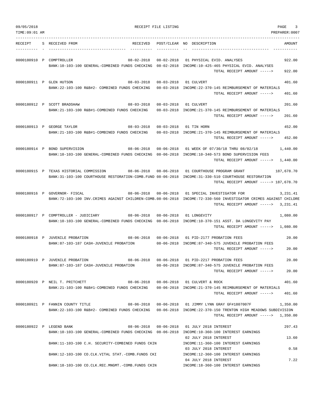| 09/05/2018<br>TIME:09:01 AM |                                                                                                                                                         | RECEIPT FILE LISTING |                                                                                                                                             | PAGE<br>3<br>PREPARER: 0007 |
|-----------------------------|---------------------------------------------------------------------------------------------------------------------------------------------------------|----------------------|---------------------------------------------------------------------------------------------------------------------------------------------|-----------------------------|
| RECEIPT                     | S RECEIVED FROM<br>RECEIVED                                                                                                                             |                      | POST/CLEAR NO DESCRIPTION                                                                                                                   | AMOUNT                      |
|                             | 0000180910 P COMPTROLLER<br>$08 - 02 - 2018$<br>BANK:10-103-100 GENERAL-COMBINED FUNDS CHECKING 08-02-2018 INCOME:10-425-465 PHYSICAL EVID. ANALYSES    | $08 - 02 - 2018$     | 01 PHYSICAL EVID. ANALYSES<br>TOTAL RECEIPT AMOUNT ----->                                                                                   | 922.00<br>922.00            |
|                             | 0000180911 P GLEN HUTSON<br>$08 - 03 - 2018$<br>BANK: 22-103-100 R&B#2- COMBINED FUNDS CHECKING                                                         | $08 - 03 - 2018$     | 01 CULVERT<br>08-03-2018 INCOME:22-370-145 REIMBURSEMENT OF MATERIALS<br>TOTAL RECEIPT AMOUNT ----->                                        | 401.60<br>401.60            |
|                             | 0000180912 P SCOTT BRADSHAW<br>$08 - 03 - 2018$<br>BANK:21-103-100 R&B#1-COMBINED FUNDS CHECKING                                                        | $08 - 03 - 2018$     | 01 CULVERT<br>08-03-2018 INCOME:21-370-145 REIMBURSEMENT OF MATERIALS<br>TOTAL RECEIPT AMOUNT ----->                                        | 201.60<br>201.60            |
|                             | 0000180913 P GEORGE TAYLOR<br>$08 - 03 - 2018$<br>BANK: 21-103-100 R&B#1-COMBINED FUNDS CHECKING                                                        | $08 - 03 - 2018$     | 01 TIN HORN<br>08-03-2018 INCOME:21-370-145 REIMBURSEMENT OF MATERIALS<br>TOTAL RECEIPT AMOUNT ----->                                       | 452.00<br>452.00            |
|                             | $08 - 06 - 2018$<br>0000180914 P BOND SUPERVISION<br>BANK:10-103-100 GENERAL-COMBINED FUNDS CHECKING 08-06-2018 INCOME:10-340-573 BOND SUPERVISION FEES | $08 - 06 - 2018$     | 01 WEEK OF 07/30/18 THRU 08/02/18<br>TOTAL RECEIPT AMOUNT ----->                                                                            | 1,440.00<br>1,440.00        |
|                             | 0000180915 P TEXAS HISTORIAL COMMISSION<br>$08 - 06 - 2018$<br>BANK: 31-103-100 COURTHOUSE RESTORATION-COMB. FUND 08-06-2018                            | $08 - 06 - 2018$     | 01 COURTHOUSE PROGRAM GRANT<br>INCOME: 31-330-510 COURTHOUSE RESTORATION<br>TOTAL RECEIPT AMOUNT -----> 187,678.70                          | 187,678.70                  |
|                             | 0000180916 P GOVERNOR- FISCAL<br>$08 - 06 - 2018$<br>BANK: 72-103-100 INV. CRIMES AGAINST CHILDREN-COMB. 08-06-2018                                     | 08-06-2018           | 01 SPECIAL INVESTIGATOR FOR<br>INCOME: 72-330-560 INVESTIGATOR CRIMES AGAINST CHILDRE<br>TOTAL RECEIPT AMOUNT ----->                        | 3,231.41<br>3,231.41        |
|                             | 0000180917 P COMPTROLLER - JUDICIARY<br>$08 - 06 - 2018$<br>BANK:10-103-100 GENERAL-COMBINED FUNDS CHECKING 08-06-2018                                  | $08 - 06 - 2018$     | 01 LONGEVITY<br>INCOME:10-370-151 ASST. DA LONGEVITY PAY<br>TOTAL RECEIPT AMOUNT ----->                                                     | 1,080.00<br>1,080.00        |
|                             | 0000180918 P JUVENILE PROBATION<br>$08 - 06 - 2018$<br>BANK:87-103-187 CASH-JUVENILE PROBATION                                                          | $08 - 06 - 2018$     | 01 PID-2177 PROBATION FEES<br>08-06-2018 INCOME:87-340-575 JUVENILE PROBATION FEES<br>TOTAL RECEIPT AMOUNT ----->                           | 20.00<br>20.00              |
|                             | 0000180919 P JUVENILE PROBATION<br>BANK:87-103-187 CASH-JUVENILE PROBATION                                                                              |                      | 08-06-2018  08-06-2018  01  PID-2217  PROBATION FEES<br>08-06-2018 INCOME:87-340-575 JUVENILE PROBATION FEES<br>TOTAL RECEIPT AMOUNT -----> | 20.00<br>20.00              |
|                             | 0000180920 P NEIL T. PRITCHETT<br>BANK:21-103-100 R&B#1-COMBINED FUNDS CHECKING                                                                         |                      | 08-06-2018  08-06-2018  01 CULVERT & ROCK<br>08-06-2018 INCOME:21-370-145 REIMBURSEMENT OF MATERIALS<br>TOTAL RECEIPT AMOUNT ----->         | 401.60<br>401.60            |
|                             | 0000180921 P FANNIN COUNTY TITLE<br>BANK:22-103-100 R&B#2- COMBINED FUNDS CHECKING 08-06-2018 INCOME:22-370-150 TRENTON HIGH MEADOWS SUBDIVISION        |                      | 08-06-2018  08-06-2018  01 JIMMY LYNN GRAY GF#1807007F<br>TOTAL RECEIPT AMOUNT -----> 1,350.00                                              | 1,350.00                    |
|                             | 0000180922 P LEGEND BANK<br>BANK:10-103-100 GENERAL-COMBINED FUNDS CHECKING 08-06-2018 INCOME:10-360-100 INTEREST EARNINGS                              |                      | 08-06-2018  08-06-2018  01 JULY  2018 INTEREST                                                                                              | 297.43                      |
|                             | BANK:11-103-100 C.H. SECURITY-COMBINED FUNDS CKIN                                                                                                       |                      | 02 JULY 2018 INTEREST<br>INCOME:11-360-100 INTEREST EARNINGS<br>03 JULY 2018 INTEREST                                                       | 13.60<br>0.58               |
|                             | BANK:12-103-100 CO.CLK.VITAL STAT.-COMB.FUNDS CKI                                                                                                       |                      | INCOME:12-360-100 INTEREST EARNINGS<br>04 JULY 2018 INTEREST                                                                                | 7.22                        |
|                             | BANK:18-103-100 CO.CLK.REC.MNGMT.-COMB.FUNDS CKIN                                                                                                       |                      | INCOME:18-360-100 INTEREST EARNINGS                                                                                                         |                             |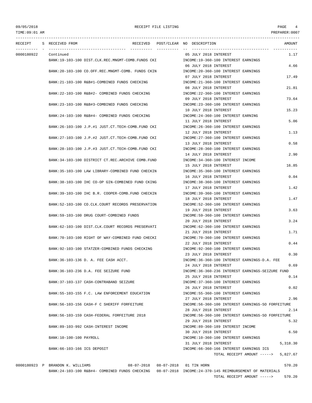### TIME:09:01 AM PREPARER:0007

## 09/05/2018 RECEIPT FILE LISTING PAGE 4

--------------------------------------------------------------------------------------------------------------------------------- RECEIPT S RECEIVED FROM THE RECEIVED POST/CLEAR NO DESCRIPTION THE RECEIVED AMOUNT ---------- - ----------------------------------- ---------- ---------- -- ----------------------------------- ----------- 0000180922 Continued 05 JULY 2018 INTEREST 1.17 BANK:19-103-100 DIST.CLK.REC.MNGMT-COMB.FUNDS CKI INCOME:19-360-100 INTEREST EARNINGS 06 JULY 2018 INTEREST 4.66 BANK:20-103-100 CO.OFF.REC.MNGMT-COMB. FUNDS CKIN INCOME:20-360-100 INTEREST EARNINGS 07 JULY 2018 INTEREST 17.49 BANK:21-103-100 R&B#1-COMBINED FUNDS CHECKING INCOME:21-360-100 INTEREST EARNINGS 08 JULY 2018 INTEREST 21.81 BANK: 22-103-100 R&B#2- COMBINED FUNDS CHECKING INCOME: 22-360-100 INTEREST EARNINGS 09 JULY 2018 INTEREST 73.64 BANK:23-103-100 R&B#3-COMBINED FUNDS CHECKING INCOME:23-360-100 INTEREST EARNINGS 10 JULY 2018 INTEREST 15.23 BANK:24-103-100 R&B#4- COMBINED FUNDS CHECKING INCOME:24-360-100 INTEREST EARNING 11 JULY 2018 INTEREST 5.06 BANK:26-103-100 J.P.#1 JUST.CT.TECH-COMB.FUND CKI INCOME:26-360-100 INTEREST EARNINGS 12 JULY 2018 INTEREST 1.13 BANK:27-103-100 J.P.#2 JUST.CT.TECH-COMB.FUND CKI INCOME:27-360-100 INTEREST EARNINGS 13 JULY 2018 INTEREST 0.58 BANK:28-103-100 J.P.#3 JUST.CT.TECH-COMB.FUND CKI INCOME:28-360-100 INTEREST EARNINGS 14 JULY 2018 INTEREST 2.90 BANK:34-103-100 DISTRICT CT.REC.ARCHIVE COMB.FUND INCOME:34-360-100 INTEREST INCOME 15 JULY 2018 INTEREST 16.85 BANK:35-103-100 LAW LIBRARY-COMBINED FUND CHECKIN INCOME:35-360-100 INTEREST EARNINGS 16 JULY 2018 INTEREST 0.04 BANK:38-103-100 IHC CO-OP GIN-COMBINED FUND CKING INCOME:38-360-100 INTEREST EARNINGS 17 JULY 2018 INTEREST 1.42 BANK:39-103-100 IHC B.R. COOPER-COMB.FUND CHECKIN INCOME:39-360-100 INTEREST EARNINGS 18 JULY 2018 INTEREST 1.47 BANK:52-103-100 CO.CLK.COURT RECORDS PRESERVATION INCOME:52-360-100 INTEREST EARNINGS 19 JULY 2018 INTEREST 3.63 BANK:59-103-100 DRUG COURT-COMBINED FUNDS INCOME:59-360-100 INTEREST EARNINGS 20 JULY 2018 INTEREST 3.24 BANK:62-103-100 DIST.CLK.COURT RECORDS PRESERVATI INCOME:62-360-100 INTEREST EARNINGS 21 JULY 2018 INTEREST 1.71 BANK:70-103-100 RIGHT OF WAY-COMBINED FUND CHECKI INCOME:70-360-100 INTEREST EARNINGS 22 JULY 2018 INTEREST 0.44 BANK:92-103-100 STATZER-COMBINED FUNDS CHECKING INCOME:92-360-100 INTEREST EARNINGS 23 JULY 2018 INTEREST 0.30 BANK:36-103-136 D. A. FEE CASH ACCT. INCOME:36-360-100 INTEREST EARNINGS-D.A. FEE 24 JULY 2018 INTEREST 0.69 BANK:36-103-236 D.A. FEE SEIZURE FUND INCOME:36-360-236 INTEREST EARNINGS-SEIZURE FUND 25 JULY 2018 INTEREST 0.14 BANK:37-103-137 CASH-CONTRABAND SEIZURE INCOME:37-360-100 INTEREST EARNINGS 26 JULY 2018 INTEREST 0.02 BANK:55-103-155 F.C. LAW ENFORCEMENT EDUCATION INCOME:55-360-100 INTEREST EARNINGS 27 JULY 2018 INTEREST 2.96 BANK:56-103-156 CASH-F C SHERIFF FORFEITURE INCOME:56-360-100 INTEREST EARNINGS-SO FORFEITURE 28 JULY 2018 INTEREST 2.14 BANK:56-103-159 CASH-FEDERAL FORFEITURE 2018 INCOME:56-360-100 INTEREST EARNINGS-SO FORFEITURE 29 JULY 2018 INTEREST 5.32 BANK:89-103-992 CASH-INTEREST INCOME **INCOME:89-360-189 INTEREST INCOME** 30 JULY 2018 INTEREST 6.50 BANK:10-100-100 PAYROLL INCOME:10-360-100 INTEREST EARNINGS 31 JULY 2018 INTEREST 5,318.30 BANK:66-103-166 ICS DEPOSIT INCOME:66-360-166 INTEREST EARNINGS ICS TOTAL RECEIPT AMOUNT -----> 5,827.67

> BANK:24-103-100 R&B#4- COMBINED FUNDS CHECKING 08-07-2018 INCOME:24-370-145 REIMBURSEMENT OF MATERIALS TOTAL RECEIPT AMOUNT -----> 570.20

0000180923 P BRANDON K. WILLIAMS 08-07-2018 08-07-2018 01 TIN HORN 570.20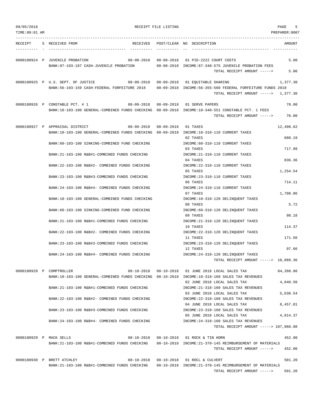| 09/05/2018<br>TIME: 09:01 AM |                                                                                                    | RECEIPT FILE LISTING |                                                                                                    | PAGE<br>5<br>PREPARER: 0007 |
|------------------------------|----------------------------------------------------------------------------------------------------|----------------------|----------------------------------------------------------------------------------------------------|-----------------------------|
|                              |                                                                                                    |                      |                                                                                                    |                             |
| RECEIPT                      | S RECEIVED FROM<br>RECEIVED                                                                        |                      | POST/CLEAR NO DESCRIPTION                                                                          | AMOUNT                      |
|                              | 0000180924 P JUVENILE PROBATION                                                                    |                      | 08-08-2018  08-08-2018  01 PID-2222  COURT COSTS                                                   | 5.00                        |
|                              | BANK:87-103-187 CASH-JUVENILE PROBATION                                                            |                      | 08-08-2018 INCOME:87-340-575 JUVENILE PROBATION FEES<br>TOTAL RECEIPT AMOUNT ----->                | 5.00                        |
|                              | 0000180925 P U.S. DEPT. OF JUSTICE                                                                 |                      | 08-09-2018  08-09-2018  01 EQUITABLE SHARING                                                       | 1,377.30                    |
|                              | BANK: 56-103-159 CASH-FEDERAL FORFEITURE 2018                                                      |                      | 08-09-2018 INCOME:56-355-560 FEDERAL FORFEITURE FUNDS 2018<br>TOTAL RECEIPT AMOUNT $--- $ 1.377.30 |                             |
|                              | 0000180926 P CONSTABLE PCT. # 1                                                                    |                      | 08-09-2018  08-09-2018  01 SERVE PAPERS                                                            | 70.00                       |
|                              | BANK:10-103-100 GENERAL-COMBINED FUNDS CHECKING 08-09-2018 INCOME:10-340-551 CONSTABLE PCT. 1 FEES |                      | TOTAL RECEIPT AMOUNT ----->                                                                        | 70.00                       |
|                              | 0000180927 P APPRAISAL DISTRICT<br>08-09-2018                                                      | 08-09-2018 01 TAXES  |                                                                                                    | 12,490.62                   |
|                              | BANK:10-103-100 GENERAL-COMBINED FUNDS CHECKING 08-09-2018 INCOME:10-310-110 CURRENT TAXES         |                      | 02 TAXES                                                                                           | 680.19                      |
|                              | BANK:60-103-100 SINKING-COMBINED FUND CHECKING                                                     |                      | INCOME: 60-310-110 CURRENT TAXES<br>03 TAXES                                                       | 717.99                      |
|                              | BANK: 21-103-100 R&B#1-COMBINED FUNDS CHECKING                                                     |                      | INCOME: 21-310-110 CURRENT TAXES                                                                   |                             |
|                              | BANK: 22-103-100 R&B#2- COMBINED FUNDS CHECKING                                                    |                      | 04 TAXES<br>INCOME: 22-310-110 CURRENT TAXES                                                       | 836.36                      |
|                              | BANK: 23-103-100 R&B#3-COMBINED FUNDS CHECKING                                                     |                      | 05 TAXES<br>INCOME: 23-310-110 CURRENT TAXES                                                       | 1,254.54                    |
|                              |                                                                                                    |                      | 06 TAXES                                                                                           | 714.11                      |
|                              | BANK: 24-103-100 R&B#4- COMBINED FUNDS CHECKING                                                    |                      | INCOME: 24-310-110 CURRENT TAXES<br>07 TAXES                                                       | 1,708.06                    |
|                              | BANK:10-103-100 GENERAL-COMBINED FUNDS CHECKING                                                    |                      | INCOME:10-310-120 DELINQUENT TAXES<br>08 TAXES                                                     | 5.72                        |
|                              | BANK:60-103-100 SINKING-COMBINED FUND CHECKING                                                     |                      | INCOME: 60-310-120 DELINQUENT TAXES<br>09 TAXES                                                    | 98.18                       |
|                              | BANK: 21-103-100 R&B#1-COMBINED FUNDS CHECKING                                                     |                      | INCOME: 21-310-120 DELINQUENT TAXES                                                                |                             |
|                              | BANK: 22-103-100 R&B#2- COMBINED FUNDS CHECKING                                                    |                      | 10 TAXES<br>INCOME: 22-310-120 DELINQUENT TAXES                                                    | 114.37                      |
|                              | BANK: 23-103-100 R&B#3-COMBINED FUNDS CHECKING                                                     |                      | 11 TAXES<br>INCOME: 23-310-120 DELINQUENT TAXES                                                    | 171.56                      |
|                              |                                                                                                    |                      | 12 TAXES                                                                                           | 97.66                       |
|                              | BANK:24-103-100 R&B#4- COMBINED FUNDS CHECKING                                                     |                      | INCOME: 24-310-120 DELINQUENT TAXES<br>TOTAL RECEIPT AMOUNT -----> 18,889.36                       |                             |
|                              | 0000180928 P COMPTROLLER                                                                           |                      | 08-10-2018  08-10-2018  01 JUNE  2018  LOCAL SALES TAX                                             | 84,208.86                   |
|                              | BANK:10-103-100 GENERAL-COMBINED FUNDS CHECKING 08-10-2018 INCOME:10-318-160 SALES TAX REVENUES    |                      | 02 JUNE 2018 LOCAL SALES TAX                                                                       | 4,840.50                    |
|                              | BANK: 21-103-100 R&B#1-COMBINED FUNDS CHECKING                                                     |                      | INCOME: 21-318-160 SALES TAX REVENUES<br>03 JUNE 2018 LOCAL SALES TAX                              | 5,638.54                    |
|                              | BANK:22-103-100 R&B#2- COMBINED FUNDS CHECKING                                                     |                      | INCOME: 22-318-160 SALES TAX REVENUES                                                              |                             |
|                              | BANK: 23-103-100 R&B#3-COMBINED FUNDS CHECKING                                                     |                      | 04 JUNE 2018 LOCAL SALES TAX<br>INCOME: 23-318-160 SALES TAX REVENUES                              | 8,457.81                    |
|                              | BANK:24-103-100 R&B#4- COMBINED FUNDS CHECKING                                                     |                      | 05 JUNE 2018 LOCAL SALES TAX<br>INCOME: 24-318-160 SALES TAX REVENUES                              | 4,814.37                    |
|                              |                                                                                                    |                      | TOTAL RECEIPT AMOUNT -----> 107,960.08                                                             |                             |
|                              | 08-10-2018<br>0000180929 P MACK SELLS<br>BANK:21-103-100 R&B#1-COMBINED FUNDS CHECKING             |                      | 08-10-2018 01 ROCK & TIN HORN<br>08-10-2018 INCOME:21-370-145 REIMBURSEMENT OF MATERIALS           | 452.00                      |
|                              |                                                                                                    |                      | TOTAL RECEIPT AMOUNT ----->                                                                        | 452.00                      |
|                              | 0000180930 P BRETT ATCHLEY                                                                         |                      | 08-10-2018  08-10-2018  01 ROCL & CULVERT                                                          | 501.20                      |
|                              | BANK:21-103-100 R&B#1-COMBINED FUNDS CHECKING                                                      |                      | 08-10-2018 INCOME:21-370-145 REIMBURSEMENT OF MATERIALS<br>TOTAL RECEIPT AMOUNT ----->             | 501.20                      |
|                              |                                                                                                    |                      |                                                                                                    |                             |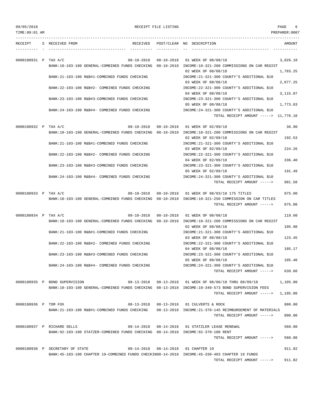TIME:09:01 AM PREPARER:0007 --------------------------------------------------------------------------------------------------------------------------------- RECEIPT S RECEIVED FROM THE RECEIVED POST/CLEAR NO DESCRIPTION THE RECEIVED AMOUNT ---------- - ----------------------------------- ---------- ---------- -- ----------------------------------- ----------- 0000180931 P TAX A/C 08-10-2018 08-10-2018 01 WEEK OF 08/08/18 3,026.10 BANK:10-103-100 GENERAL-COMBINED FUNDS CHECKING 08-10-2018 INCOME:10-321-200 COMMISSIONS ON CAR REGIST 02 WEEK OF 08/08/18 1,783.25 BANK:21-103-100 R&B#1-COMBINED FUNDS CHECKING INCOME:21-321-300 COUNTY'S ADDITIONAL \$10 03 WEEK OF 08/08/18 2,077.25 BANK:22-103-100 R&B#2- COMBINED FUNDS CHECKING INCOME:22-321-300 COUNTY'S ADDITIONAL \$10 04 WEEK OF 08/08/18 3,115.87 BANK:23-103-100 R&B#3-COMBINED FUNDS CHECKING INCOME:23-321-300 COUNTY'S ADDITIONAL \$10 05 WEEK OF 08/08/18 1,773.63 BANK:24-103-100 R&B#4- COMBINED FUNDS CHECKING INCOME:24-321-300 COUNTY'S ADDITIONAL \$10 TOTAL RECEIPT AMOUNT -----> 11,776.10 0000180932 P TAX A/C 08-10-2018 08-10-2018 01 WEEK OF 02/09/18 36.90 BANK:10-103-100 GENERAL-COMBINED FUNDS CHECKING 08-10-2018 INCOME:10-321-200 COMMISSIONS ON CAR REGIST 02 WEEK OF 02/09/18 192.53 BANK:21-103-100 R&B#1-COMBINED FUNDS CHECKING INCOME:21-321-300 COUNTY'S ADDITIONAL \$10 03 WEEK OF 02/09/18 224.26 BANK:22-103-100 R&B#2- COMBINED FUNDS CHECKING INCOME:22-321-300 COUNTY'S ADDITIONAL \$10 04 WEEK OF 02/09/18 336.40 BANK:23-103-100 R&B#3-COMBINED FUNDS CHECKING INCOME:23-321-300 COUNTY'S ADDITIONAL \$10 05 WEEK OF 02/09/18 191.49 BANK:24-103-100 R&B#4- COMBINED FUNDS CHECKING INCOME:24-321-300 COUNTY'S ADDITIONAL \$10 TOTAL RECEIPT AMOUNT -----> 981.58 0000180933 P TAX A/C 08-10-2018 08-10-2018 01 WEEK OF 08/03/18 175 TITLES 875.00 BANK:10-103-100 GENERAL-COMBINED FUNDS CHECKING 08-10-2018 INCOME:10-321-250 COMMISSION ON CAR TITLES TOTAL RECEIPT AMOUNT -----> 875.00 0000180934 P TAX A/C 08-10-2018 08-10-2018 01 WEEK OF 08/08/18 119.60 BANK:10-103-100 GENERAL-COMBINED FUNDS CHECKING 08-10-2018 INCOME:10-321-200 COMMISSIONS ON CAR REGIST 02 WEEK OF 08/08/18 105.98 BANK:21-103-100 R&B#1-COMBINED FUNDS CHECKING INCOME:21-321-300 COUNTY'S ADDITIONAL \$10 03 WEEK OF 08/08/18 123.45 BANK:22-103-100 R&B#2- COMBINED FUNDS CHECKING INCOME:22-321-300 COUNTY'S ADDITIONAL \$10 04 WEEK OF 08/08/18 185.17 BANK:23-103-100 R&B#3-COMBINED FUNDS CHECKING INCOME:23-321-300 COUNTY'S ADDITIONAL \$10 05 WEEK OF 08/08/18 105.40 BANK:24-103-100 R&B#4- COMBINED FUNDS CHECKING INCOME:24-321-300 COUNTY'S ADDITIONAL \$10 TOTAL RECEIPT AMOUNT -----> 639.60 0000180935 P BOND SUPERVISION 08-13-2018 08-13-2018 01 WEEK OF 08/06/18 THRU 08/09/18 1,105.00 BANK:10-103-100 GENERAL-COMBINED FUNDS CHECKING 08-13-2018 INCOME:10-340-573 BOND SUPERVISION FEES TOTAL RECEIPT AMOUNT -----> 1,105.00 0000180936 P TOM FOX 08-13-2018 08-13-2018 01 CULVERTS & ROCK 800.00 BANK:21-103-100 R&B#1-COMBINED FUNDS CHECKING 08-13-2018 INCOME:21-370-145 REIMBURSEMENT OF MATERIALS TOTAL RECEIPT AMOUNT -----> 800.00 0000180937 P RICHARD SELLS 08-14-2018 08-14-2018 01 STATZLER LEASE RENEWAL 560.00 BANK:92-103-100 STATZER-COMBINED FUNDS CHECKING 08-14-2018 INCOME:92-370-100 RENT TOTAL RECEIPT AMOUNT -----> 560.00 0000180938 P SECRETARY OF STATE  $08-14-2018$  08-14-2018 01 CHAPTER 19 911.82 BANK:45-103-100 CHAPTER 19-COMBINED FUNDS CHECKIN08-14-2018 INCOME:45-330-403 CHAPTER 19 FUNDS TOTAL RECEIPT AMOUNT -----> 911.82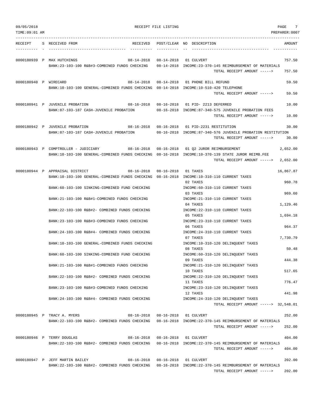| 09/05/2018            |                                                                                                                                                         | RECEIPT FILE LISTING |                                                                                                                                       | PAGE<br>7            |
|-----------------------|---------------------------------------------------------------------------------------------------------------------------------------------------------|----------------------|---------------------------------------------------------------------------------------------------------------------------------------|----------------------|
| TIME: 09:01 AM        |                                                                                                                                                         |                      |                                                                                                                                       | PREPARER:0007        |
| RECEIPT               | S RECEIVED FROM<br>RECEIVED                                                                                                                             |                      | POST/CLEAR NO DESCRIPTION                                                                                                             | AMOUNT               |
|                       | 0000180939 P MAX HUTCHINGS<br>08-14-2018<br>BANK:23-103-100 R&B#3-COMBINED FUNDS CHECKING                                                               |                      | 08-14-2018 01 CULVERT<br>08-14-2018 INCOME:23-370-145 REIMBURSEMENT OF MATERIALS<br>TOTAL RECEIPT AMOUNT ----->                       | 757.50<br>757.50     |
| 0000180940 P WIRECARD | BANK:10-103-100 GENERAL-COMBINED FUNDS CHECKING 08-14-2018 INCOME:10-510-420 TELEPHONE                                                                  |                      | 08-14-2018  08-14-2018  01  PHONE BILL REFUND<br>TOTAL RECEIPT AMOUNT ----->                                                          | 59.50<br>59.50       |
|                       | 0000180941 P JUVENILE PROBATION<br>BANK:87-103-187 CASH-JUVENILE PROBATION                                                                              |                      | 08-16-2018  08-16-2018  01  PID- 2213 DEFERRED<br>08-16-2018 INCOME:87-340-575 JUVENILE PROBATION FEES<br>TOTAL RECEIPT AMOUNT -----> | 10.00<br>10.00       |
|                       | $08 - 16 - 2018$<br>0000180942 P JUVENILE PROBATION<br>BANK:87-103-187 CASH-JUVENILE PROBATION                                                          | $08 - 16 - 2018$     | 01 PID-2231 RESTITUTION<br>08-16-2018 INCOME:87-340-576 JUVENILE PROBATION RESTITUTION<br>TOTAL RECEIPT AMOUNT ----->                 | 30.00<br>30.00       |
|                       | 0000180943 P COMPTROLLER - JUDICIARY<br>BANK:10-103-100 GENERAL-COMBINED FUNDS CHECKING 08-16-2018 INCOME:10-370-139 STATE JUROR REIMB.FEE              |                      | 08-16-2018  08-16-2018  01  Q2  JUROR REIMBURSEMENT<br>TOTAL RECEIPT AMOUNT ----->                                                    | 2,652.00<br>2,652.00 |
|                       | 08-16-2018  08-16-2018<br>0000180944 P APPRAISAL DISTRICT<br>BANK:10-103-100 GENERAL-COMBINED FUNDS CHECKING 08-16-2018 INCOME:10-310-110 CURRENT TAXES |                      | 01 TAXES                                                                                                                              | 16,867.87            |
|                       | BANK:60-103-100 SINKING-COMBINED FUND CHECKING                                                                                                          |                      | 02 TAXES<br>INCOME: 60-310-110 CURRENT TAXES                                                                                          | 960.78               |
|                       | BANK: 21-103-100 R&B#1-COMBINED FUNDS CHECKING                                                                                                          |                      | 03 TAXES<br>INCOME: 21-310-110 CURRENT TAXES<br>04 TAXES                                                                              | 969.60<br>1,129.46   |
|                       | BANK: 22-103-100 R&B#2- COMBINED FUNDS CHECKING                                                                                                         |                      | INCOME: 22-310-110 CURRENT TAXES<br>05 TAXES                                                                                          | 1,694.18             |
|                       | BANK: 23-103-100 R&B#3-COMBINED FUNDS CHECKING                                                                                                          |                      | INCOME: 23-310-110 CURRENT TAXES<br>06 TAXES                                                                                          | 964.37               |
|                       | BANK: 24-103-100 R&B#4- COMBINED FUNDS CHECKING                                                                                                         |                      | INCOME: 24-310-110 CURRENT TAXES<br>07 TAXES                                                                                          | 7,730.79             |
|                       | BANK:10-103-100 GENERAL-COMBINED FUNDS CHECKING<br>BANK:60-103-100 SINKING-COMBINED FUND CHECKING                                                       |                      | INCOME:10-310-120 DELINQUENT TAXES<br>08 TAXES<br>INCOME: 60-310-120 DELINQUENT TAXES                                                 | 50.48                |
|                       | BANK: 21-103-100 R&B#1-COMBINED FUNDS CHECKING                                                                                                          |                      | 09 TAXES<br>INCOME: 21-310-120 DELINQUENT TAXES                                                                                       | 444.38               |
|                       | BANK:22-103-100 R&B#2- COMBINED FUNDS CHECKING                                                                                                          |                      | 10 TAXES<br>INCOME: 22-310-120 DELINQUENT TAXES                                                                                       | 517.65               |
|                       | BANK: 23-103-100 R&B#3-COMBINED FUNDS CHECKING                                                                                                          |                      | 11 TAXES<br>INCOME: 23-310-120 DELINQUENT TAXES<br>12 TAXES                                                                           | 776.47<br>441.98     |
|                       | BANK:24-103-100 R&B#4- COMBINED FUNDS CHECKING                                                                                                          |                      | INCOME: 24-310-120 DELINQUENT TAXES<br>TOTAL RECEIPT AMOUNT -----> 32,548.01                                                          |                      |
|                       | 0000180945 P TRACY A. MYERS<br>BANK:22-103-100 R&B#2- COMBINED FUNDS CHECKING 08-16-2018 INCOME:22-370-145 REIMBURSEMENT OF MATERIALS                   |                      | 08-16-2018  08-16-2018  01 CULVERT<br>TOTAL RECEIPT AMOUNT ----->                                                                     | 252.00<br>252.00     |
|                       | 0000180946 P TERRY DOUGLAS<br>08-16-2018<br>BANK:22-103-100 R&B#2- COMBINED FUNDS CHECKING 08-16-2018 INCOME:22-370-145 REIMBURSEMENT OF MATERIALS      |                      | 08-16-2018 01 CULVERT<br>TOTAL RECEIPT AMOUNT ----->                                                                                  | 404.00<br>404.00     |
|                       | 0000180947 P JEFF MARTIN BAILEY<br>BANK: 22-103-100 R&B#2- COMBINED FUNDS CHECKING 08-16-2018 INCOME: 22-370-145 REIMBURSEMENT OF MATERIALS             |                      | 08-16-2018  08-16-2018  01 CULVERT<br>TOTAL RECEIPT AMOUNT ----->                                                                     | 202.00<br>202.00     |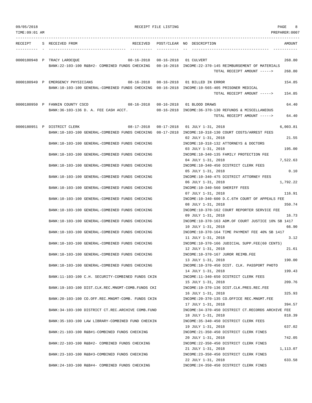| 09/05/2018    | RECEIPT FILE LISTING                                                                                                                    | PAGE |                                                                                            |                 |
|---------------|-----------------------------------------------------------------------------------------------------------------------------------------|------|--------------------------------------------------------------------------------------------|-----------------|
| TIME:09:01 AM |                                                                                                                                         |      |                                                                                            | PREPARER: 0007  |
| RECEIPT       | S RECEIVED FROM                                                                                                                         |      | RECEIVED POST/CLEAR NO DESCRIPTION                                                         | AMOUNT          |
|               | 0000180948 P TRACY LAROCQUE<br>BANK: 22-103-100 R&B#2- COMBINED FUNDS CHECKING 08-16-2018 INCOME: 22-370-145 REIMBURSEMENT OF MATERIALS |      | 08-16-2018  08-16-2018  01 CULVERT                                                         | 268.80          |
|               |                                                                                                                                         |      | TOTAL RECEIPT AMOUNT ----->                                                                | 268.80          |
|               | 0000180949 P EMERGENCY PHYSICIANS<br>BANK:10-103-100 GENERAL-COMBINED FUNDS CHECKING 08-16-2018 INCOME:10-565-405 PRISONER MEDICAL      |      | 08-16-2018  08-16-2018  01 BILLED IN ERROR                                                 | 154.85          |
|               |                                                                                                                                         |      | TOTAL RECEIPT AMOUNT ----->                                                                | 154.85          |
|               | 0000180950 P FANNIN COUNTY CSCD 08-16-2018 08-16-2018 01 BLOOD DRAWS                                                                    |      |                                                                                            | 64.40           |
|               | BANK:36-103-136 D. A. FEE CASH ACCT. 08-16-2018 INCOME:36-370-130 REFUNDS & MISCELLANEOUS                                               |      | TOTAL RECEIPT AMOUNT ----->                                                                | 64.40           |
|               | 0000180951 P DISTRICT CLERK                                                                                                             |      | 08-17-2018  08-17-2018  01  JULY 1-31, 2018                                                | 6,003.81        |
|               | BANK:10-103-100 GENERAL-COMBINED FUNDS CHECKING 08-17-2018 INCOME:10-318-130 COURT COSTS/ARREST FEES                                    |      | 02 JULY 1-31, 2018                                                                         | 21.55           |
|               | BANK:10-103-100 GENERAL-COMBINED FUNDS CHECKING                                                                                         |      | INCOME:10-318-132 ATTORNEYS & DOCTORS<br>03 JULY 1-31, 2018                                | 195.00          |
|               | BANK:10-103-100 GENERAL-COMBINED FUNDS CHECKING                                                                                         |      | INCOME:10-340-135 FAMILY PROTECTION FEE                                                    |                 |
|               | BANK:10-103-100 GENERAL-COMBINED FUNDS CHECKING                                                                                         |      | 04 JULY 1-31, 2018<br>INCOME:10-340-450 DISTRICT CLERK FEES                                | 7,522.63        |
|               | BANK:10-103-100 GENERAL-COMBINED FUNDS CHECKING                                                                                         |      | 05 JULY 1-31, 2018<br>INCOME:10-340-475 DISTRICT ATTORNEY FEES                             | 0.10            |
|               | BANK:10-103-100 GENERAL-COMBINED FUNDS CHECKING                                                                                         |      | 06 JULY 1-31, 2018<br>INCOME:10-340-560 SHERIFF FEES                                       | 1,792.22        |
|               | BANK:10-103-100 GENERAL-COMBINED FUNDS CHECKING                                                                                         |      | 07 JULY 1-31, 2018<br>INCOME:10-340-600 D.C.6TH COURT OF APPEALS FEE                       | 116.91          |
|               | BANK:10-103-100 GENERAL-COMBINED FUNDS CHECKING                                                                                         |      | 08 JULY 1-31, 2018<br>INCOME:10-370-162 COURT REPORTER SERVICE FEE                         | 350.74<br>16.73 |
|               | BANK:10-103-100 GENERAL-COMBINED FUNDS CHECKING                                                                                         |      | 09 JULY 1-31, 2018<br>INCOME:10-370-163 ADM.OF COURT JUSTICE 10% SB 1417                   | 66.90           |
|               | BANK:10-103-100 GENERAL-COMBINED FUNDS CHECKING                                                                                         |      | 10 JULY 1-31, 2018<br>INCOME:10-370-164 TIME PAYMENT FEE 40% SB 1417<br>11 JULY 1-31, 2018 | 3.12            |
|               | BANK:10-103-100 GENERAL-COMBINED FUNDS CHECKING                                                                                         |      | INCOME:10-370-166 JUDICIAL SUPP.FEE(60 CENTS)<br>12 JULY 1-31, 2018                        | 21.61           |
|               | BANK:10-103-100 GENERAL-COMBINED FUNDS CHECKING                                                                                         |      | INCOME:10-370-167 JUROR REIMB.FEE<br>13 JULY 1-31, 2018                                    | 190.00          |
|               | BANK:10-103-100 GENERAL-COMBINED FUNDS CHECKING                                                                                         |      | INCOME:10-370-450 DIST. CLK. PASSPORT PHOTO<br>14 JULY 1-31, 2018                          | 199.43          |
|               | BANK:11-103-100 C.H. SECURITY-COMBINED FUNDS CKIN                                                                                       |      | INCOME:11-340-650 DISTRICT CLERK FEES<br>15 JULY 1-31, 2018                                | 209.76          |
|               | BANK:19-103-100 DIST.CLK.REC.MNGMT-COMB.FUNDS CKI                                                                                       |      | INCOME:19-370-136 DIST.CLK.PRES.REC.FEE<br>16 JULY 1-31, 2018                              | 325.93          |
|               | BANK: 20-103-100 CO.OFF.REC.MNGMT-COMB. FUNDS CKIN                                                                                      |      | INCOME: 20-370-135 CO. OFFICE REC. MNGMT. FEE<br>17 JULY 1-31, 2018                        | 394.57          |
|               | BANK: 34-103-100 DISTRICT CT.REC.ARCHIVE COMB.FUND                                                                                      |      | INCOME: 34-370-450 DISTRICT CT.RECORDS ARCHIVE FEE<br>18 JULY 1-31, 2018                   | 818.39          |
|               | BANK:35-103-100 LAW LIBRARY-COMBINED FUND CHECKIN                                                                                       |      | INCOME: 35-340-450 DISTRICT CLERK FEES<br>19 JULY 1-31, 2018                               | 637.02          |
|               | BANK: 21-103-100 R&B#1-COMBINED FUNDS CHECKING                                                                                          |      | INCOME: 21-350-450 DISTRICT CLERK FINES<br>20 JULY 1-31, 2018                              | 742.05          |
|               | BANK: 22-103-100 R&B#2- COMBINED FUNDS CHECKING                                                                                         |      | INCOME: 22-350-450 DISTRICT CLERK FINES<br>21 JULY 1-31, 2018                              | 1,113.07        |
|               | BANK: 23-103-100 R&B#3-COMBINED FUNDS CHECKING                                                                                          |      | INCOME: 23-350-450 DISTRICT CLERK FINES<br>22 JULY 1-31, 2018                              | 633.58          |
|               | BANK: 24-103-100 R&B#4- COMBINED FUNDS CHECKING                                                                                         |      | INCOME: 24-350-450 DISTRICT CLERK FINES                                                    |                 |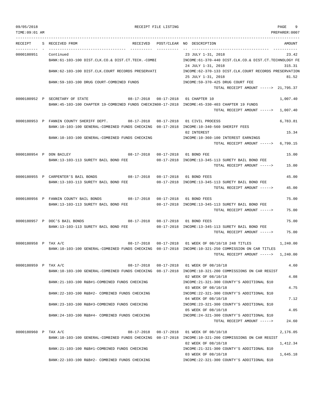| TIME:09:01 AM        |                                                                                                                                                          |                             |                                                                                                                                                                               | PREPARER:0007 |  |  |
|----------------------|----------------------------------------------------------------------------------------------------------------------------------------------------------|-----------------------------|-------------------------------------------------------------------------------------------------------------------------------------------------------------------------------|---------------|--|--|
| RECEIPT              | S RECEIVED FROM<br>RECEIVED                                                                                                                              |                             | POST/CLEAR NO DESCRIPTION<br>_________________________________                                                                                                                | AMOUNT        |  |  |
| 0000180951           | Continued<br>BANK:61-103-100 DIST.CLK.CO.& DIST.CT.TECH.-COMBI                                                                                           |                             | 23 JULY 1-31, 2018<br>23.42<br>INCOME:61-370-440 DIST.CLK.CO.& DIST.CT.TECHNOLOGY FE<br>24 JULY 1-31, 2018<br>315.31<br>INCOME:62-370-133 DIST.CLK.COURT RECORDS PRESERVATION |               |  |  |
|                      | BANK:62-103-100 DIST.CLK.COURT RECORDS PRESERVATI                                                                                                        |                             |                                                                                                                                                                               |               |  |  |
|                      | BANK:59-103-100 DRUG COURT-COMBINED FUNDS                                                                                                                |                             | 25 JULY 1-31, 2018<br>INCOME: 59-370-425 DRUG COURT FEE<br>TOTAL RECEIPT AMOUNT -----> 21,795.37                                                                              | 81.52         |  |  |
|                      | 0000180952 P SECRETARY OF STATE                                                                                                                          | 08-17-2018  08-17-2018      | 01 CHAPTER 10                                                                                                                                                                 | 1,007.40      |  |  |
|                      | BANK:45-103-100 CHAPTER 19-COMBINED FUNDS CHECKIN08-17-2018 INCOME:45-330-403 CHAPTER 19 FUNDS                                                           |                             | TOTAL RECEIPT AMOUNT ----->                                                                                                                                                   | 1,007.40      |  |  |
|                      | 0000180953 P FANNIN COUNTY SHERIFF DEPT. 08-17-2018<br>BANK:10-103-100 GENERAL-COMBINED FUNDS CHECKING 08-17-2018 INCOME:10-340-560 SHERIFF FEES         | $08 - 17 - 2018$            | 01 CIVIL PROCESS                                                                                                                                                              | 6,783.81      |  |  |
|                      | BANK:10-103-100 GENERAL-COMBINED FUNDS CHECKING                                                                                                          |                             | 02 INTEREST<br>INCOME:10-360-100 INTEREST EARNINGS                                                                                                                            | 15.34         |  |  |
|                      |                                                                                                                                                          |                             | TOTAL RECEIPT AMOUNT $--- 5$ 6,799.15                                                                                                                                         |               |  |  |
|                      | $08-17-2018$ $08-17-2018$<br>0000180954 P DON BAILEY                                                                                                     |                             | 01 BOND FEE                                                                                                                                                                   | 15.00         |  |  |
|                      | BANK:13-103-113 SURETY BAIL BOND FEE                                                                                                                     |                             | 08-17-2018 INCOME:13-345-113 SURETY BAIL BOND FEE<br>TOTAL RECEIPT AMOUNT ----->                                                                                              | 15.00         |  |  |
|                      | 0000180955 P CARPENTER'S BAIL BONDS<br>$08-17-2018$ $08-17-2018$                                                                                         |                             | 01 BOND FEES                                                                                                                                                                  | 45.00         |  |  |
|                      | BANK:13-103-113 SURETY BAIL BOND FEE                                                                                                                     |                             | 08-17-2018 INCOME:13-345-113 SURETY BAIL BOND FEE<br>TOTAL RECEIPT AMOUNT ----->                                                                                              | 45.00         |  |  |
|                      | 0000180956 P FANNIN COUNTY BAIL BONDS                                                                                                                    |                             | 01 BOND FEES                                                                                                                                                                  | 75.00         |  |  |
|                      | BANK:13-103-113 SURETY BAIL BOND FEE                                                                                                                     |                             | 08-17-2018 INCOME:13-345-113 SURETY BAIL BOND FEE<br>TOTAL RECEIPT AMOUNT ----->                                                                                              | 75.00         |  |  |
|                      | 0000180957 P DOC'S BAIL BONDS<br>08-17-2018 08-17-2018 01 BOND FEES                                                                                      |                             |                                                                                                                                                                               | 75.00         |  |  |
|                      | BANK:13-103-113 SURETY BAIL BOND FEE                                                                                                                     |                             | 08-17-2018 INCOME:13-345-113 SURETY BAIL BOND FEE<br>TOTAL RECEIPT AMOUNT ----->                                                                                              | 75.00         |  |  |
| 0000180958 P TAX A/C | $08 - 17 - 2018$                                                                                                                                         | $08 - 17 - 2018$            | 01 WEEK OF 08/10/18 248 TITLES                                                                                                                                                | 1,240.00      |  |  |
|                      | BANK:10-103-100 GENERAL-COMBINED FUNDS CHECKING 08-17-2018 INCOME:10-321-250 COMMISSION ON CAR TITLES                                                    |                             | TOTAL RECEIPT AMOUNT ----->                                                                                                                                                   | 1,240.00      |  |  |
| 0000180959 P TAX A/C |                                                                                                                                                          |                             | 08-17-2018  08-17-2018  01 WEEK OF 08/10/18                                                                                                                                   | 4.60          |  |  |
|                      | BANK:10-103-100 GENERAL-COMBINED FUNDS CHECKING 08-17-2018 INCOME:10-321-200 COMMISSIONS ON CAR REGIST                                                   |                             | 02 WEEK OF 08/10/18                                                                                                                                                           | 4.08          |  |  |
|                      | BANK: 21-103-100 R&B#1-COMBINED FUNDS CHECKING                                                                                                           |                             | INCOME: 21-321-300 COUNTY'S ADDITIONAL \$10<br>03 WEEK OF 08/10/18                                                                                                            | 4.75          |  |  |
|                      | BANK: 22-103-100 R&B#2- COMBINED FUNDS CHECKING                                                                                                          |                             | INCOME: 22-321-300 COUNTY'S ADDITIONAL \$10<br>04 WEEK OF 08/10/18                                                                                                            | 7.12          |  |  |
|                      | BANK: 23-103-100 R&B#3-COMBINED FUNDS CHECKING                                                                                                           |                             | INCOME: 23-321-300 COUNTY'S ADDITIONAL \$10                                                                                                                                   |               |  |  |
|                      | BANK: 24-103-100 R&B#4- COMBINED FUNDS CHECKING                                                                                                          |                             | 05 WEEK OF 08/10/18<br>INCOME: 24-321-300 COUNTY'S ADDITIONAL \$10                                                                                                            | 4.05          |  |  |
|                      |                                                                                                                                                          | TOTAL RECEIPT AMOUNT -----> |                                                                                                                                                                               |               |  |  |
| 0000180960 P TAX A/C | 08-17-2018                                                                                                                                               |                             | 08-17-2018 01 WEEK OF 08/10/18                                                                                                                                                | 2,176.05      |  |  |
|                      | BANK:10-103-100 GENERAL-COMBINED FUNDS CHECKING 08-17-2018 INCOME:10-321-200 COMMISSIONS ON CAR REGIST<br>BANK: 21-103-100 R&B#1-COMBINED FUNDS CHECKING |                             | 02 WEEK OF 08/10/18<br>INCOME: 21-321-300 COUNTY'S ADDITIONAL \$10                                                                                                            | 1,412.34      |  |  |
|                      |                                                                                                                                                          |                             | 03 WEEK OF 08/10/18                                                                                                                                                           | 1,645.18      |  |  |
|                      | BANK: 22-103-100 R&B#2- COMBINED FUNDS CHECKING                                                                                                          |                             | INCOME: 22-321-300 COUNTY'S ADDITIONAL \$10                                                                                                                                   |               |  |  |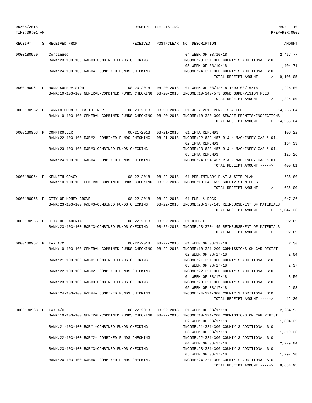TOTAL RECEIPT AMOUNT -----> 8,634.95

| LIME:09:01 |  |  |  |  | AN |
|------------|--|--|--|--|----|
|            |  |  |  |  |    |

| TIME:09:01 AM        |                                                                                                         |                  | PREPARER:0007                                                                  |
|----------------------|---------------------------------------------------------------------------------------------------------|------------------|--------------------------------------------------------------------------------|
| RECEIPT              | S RECEIVED FROM                                                                                         |                  | RECEIVED POST/CLEAR NO DESCRIPTION<br>AMOUNT                                   |
| 0000180960           | Continued                                                                                               |                  | -----------<br>04 WEEK OF 08/10/18<br>2,467.77                                 |
|                      | BANK: 23-103-100 R&B#3-COMBINED FUNDS CHECKING                                                          |                  | INCOME: 23-321-300 COUNTY'S ADDITIONAL \$10                                    |
|                      |                                                                                                         |                  | 05 WEEK OF 08/10/18<br>1,404.71                                                |
|                      | BANK:24-103-100 R&B#4- COMBINED FUNDS CHECKING                                                          |                  | INCOME: 24-321-300 COUNTY'S ADDITIONAL \$10                                    |
|                      |                                                                                                         |                  | 9,106.05<br>TOTAL RECEIPT AMOUNT ----->                                        |
|                      | 0000180961 P BOND SUPERVISION                                                                           |                  | 01 WEEK OF 08/12/18 THRU 08/16/18<br>1,225.00                                  |
|                      | BANK:10-103-100 GENERAL-COMBINED FUNDS CHECKING 08-20-2018 INCOME:10-340-573 BOND SUPERVISION FEES      |                  |                                                                                |
|                      |                                                                                                         |                  | TOTAL RECEIPT AMOUNT $---2$ 1,225.00                                           |
|                      | 0000180962 P FANNIN COUNTY HEALTH INSP.<br>$08-20-2018$ $08-20-2018$                                    |                  | 01 JULY 2018 PERMITS & FEES<br>14,255.04                                       |
|                      | BANK:10-103-100 GENERAL-COMBINED FUNDS CHECKING 08-20-2018 INCOME:10-320-300 SEWAGE PERMITS/INSPECTIONS |                  |                                                                                |
|                      |                                                                                                         |                  | TOTAL RECEIPT AMOUNT $--- 2$ 14,255.04                                         |
|                      | 0000180963 P COMPTROLLER<br>08-21-2018  08-21-2018                                                      |                  | 108.22<br>01 IFTA REFUNDS                                                      |
|                      | BANK:22-103-100 R&B#2- COMBINED FUNDS CHECKING                                                          |                  | 08-21-2018 INCOME: 22-622-457 R & M MACHINERY GAS & OIL                        |
|                      |                                                                                                         |                  | 02 IFTA REFUNDS<br>164.33                                                      |
|                      | BANK: 23-103-100 R&B#3-COMBINED FUNDS CHECKING                                                          |                  | INCOME: 23-623-457 R & M MACHINERY GAS & OIL                                   |
|                      | BANK: 24-103-100 R&B#4- COMBINED FUNDS CHECKING                                                         |                  | 128.26<br>03 IFTA REFUNDS<br>INCOME: 24-624-457 R & M MACHINERY GAS & OIL      |
|                      |                                                                                                         |                  | 400.81<br>TOTAL RECEIPT AMOUNT ----->                                          |
|                      | $08 - 22 - 2018$<br>0000180964 P KENNETH GRACY                                                          | $08 - 22 - 2018$ | 635.00<br>01 PRELIMINARY PLAT & SITE PLAN                                      |
|                      | BANK:10-103-100 GENERAL-COMBINED FUNDS CHECKING 08-22-2018 INCOME:10-340-652 SUBDIVISION FEES           |                  |                                                                                |
|                      |                                                                                                         |                  | 635.00<br>TOTAL RECEIPT AMOUNT ----->                                          |
|                      | 0000180965 P CITY OF HONEY GROVE<br>08-22-2018  08-22-2018                                              |                  | 01 FUEL & ROCK<br>1,047.36                                                     |
|                      | BANK: 23-103-100 R&B#3-COMBINED FUNDS CHECKING                                                          |                  | 08-22-2018 INCOME:23-370-145 REIMBURSEMENT OF MATERIALS                        |
|                      |                                                                                                         |                  | 1,047.36<br>TOTAL RECEIPT AMOUNT ----->                                        |
|                      | 0000180966 P CITY OF LADONIA<br>$08 - 22 - 2018$ $08 - 22 - 2018$                                       |                  | 01 DIESEL<br>92.69                                                             |
|                      | BANK: 23-103-100 R&B#3-COMBINED FUNDS CHECKING                                                          |                  | 08-22-2018 INCOME:23-370-145 REIMBURSEMENT OF MATERIALS                        |
|                      |                                                                                                         |                  | 92.69<br>TOTAL RECEIPT AMOUNT ----->                                           |
| 0000180967 P TAX A/C | $08 - 22 - 2018$                                                                                        | $08 - 22 - 2018$ | 2.30<br>01 WEEK OF 08/17/18                                                    |
|                      | BANK:10-103-100 GENERAL-COMBINED FUNDS CHECKING 08-22-2018 INCOME:10-321-200 COMMISSIONS ON CAR REGIST  |                  |                                                                                |
|                      |                                                                                                         |                  | 2.04<br>02 WEEK OF 08/17/18                                                    |
|                      | BANK: 21-103-100 R&B#1-COMBINED FUNDS CHECKING                                                          |                  | INCOME: 21-321-300 COUNTY'S ADDITIONAL \$10<br>03 WEEK OF 08/17/18<br>2.37     |
|                      | BANK:22-103-100 R&B#2- COMBINED FUNDS CHECKING                                                          |                  | INCOME: 22-321-300 COUNTY'S ADDITIONAL \$10                                    |
|                      |                                                                                                         |                  | 04 WEEK OF 08/17/18<br>3.56                                                    |
|                      | BANK: 23-103-100 R&B#3-COMBINED FUNDS CHECKING                                                          |                  | INCOME: 23-321-300 COUNTY'S ADDITIONAL \$10                                    |
|                      |                                                                                                         |                  | 05 WEEK OF 08/17/18<br>2.03<br>INCOME: 24-321-300 COUNTY'S ADDITIONAL \$10     |
|                      | BANK:24-103-100 R&B#4- COMBINED FUNDS CHECKING                                                          |                  | 12.30<br>TOTAL RECEIPT AMOUNT ----->                                           |
|                      |                                                                                                         |                  |                                                                                |
| 0000180968 P TAX A/C |                                                                                                         |                  | 08-22-2018  08-22-2018  01 WEEK OF 08/17/18<br>2,234.95                        |
|                      | BANK:10-103-100 GENERAL-COMBINED FUNDS CHECKING 08-22-2018 INCOME:10-321-200 COMMISSIONS ON CAR REGIST  |                  | 02 WEEK OF 08/17/18<br>1,304.32                                                |
|                      | BANK: 21-103-100 R&B#1-COMBINED FUNDS CHECKING                                                          |                  | INCOME: 21-321-300 COUNTY'S ADDITIONAL \$10                                    |
|                      |                                                                                                         |                  | 1,519.36<br>03 WEEK OF 08/17/18                                                |
|                      | BANK:22-103-100 R&B#2- COMBINED FUNDS CHECKING                                                          |                  | INCOME: 22-321-300 COUNTY'S ADDITIONAL \$10                                    |
|                      | BANK: 23-103-100 R&B#3-COMBINED FUNDS CHECKING                                                          |                  | 04 WEEK OF 08/17/18<br>2,279.04<br>INCOME: 23-321-300 COUNTY'S ADDITIONAL \$10 |
|                      |                                                                                                         |                  | 05 WEEK OF 08/17/18<br>1,297.28                                                |
|                      | BANK:24-103-100 R&B#4- COMBINED FUNDS CHECKING                                                          |                  | INCOME: 24-321-300 COUNTY'S ADDITIONAL \$10                                    |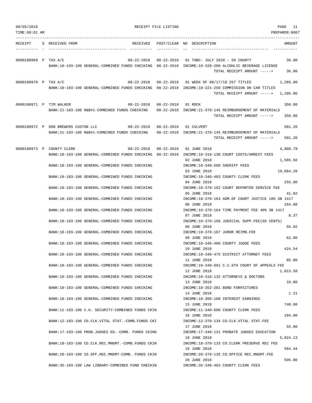| 09/05/2018           |                                     |                                                          |                                    | RECEIPT FILE LISTING |                                        |                                                                                                        | PAGE 11       |
|----------------------|-------------------------------------|----------------------------------------------------------|------------------------------------|----------------------|----------------------------------------|--------------------------------------------------------------------------------------------------------|---------------|
| TIME: 09:01 AM       |                                     |                                                          |                                    |                      |                                        |                                                                                                        | PREPARER:0007 |
| RECEIPT              | S RECEIVED FROM                     |                                                          | RECEIVED                           |                      | POST/CLEAR NO DESCRIPTION              |                                                                                                        | AMOUNT        |
|                      |                                     |                                                          |                                    |                      |                                        |                                                                                                        |               |
| 0000180969 P TAX A/C |                                     |                                                          | $08 - 22 - 2018$                   |                      |                                        | 08-22-2018 01 TABC- JULY 2018 - 5% COUNTY                                                              | 36.00         |
|                      |                                     |                                                          |                                    |                      |                                        | BANK:10-103-100 GENERAL-COMBINED FUNDS CHECKING 08-22-2018 INCOME:10-320-200 ALCOHLIC BEVERAGE LICENSE |               |
|                      |                                     |                                                          |                                    |                      |                                        | TOTAL RECEIPT AMOUNT ----->                                                                            | 36.00         |
| 0000180970 P TAX A/C |                                     |                                                          |                                    |                      |                                        | 08-22-2018  08-22-2018  01 WEEK OF 08/17/18  257 TITLES                                                | 1,285.00      |
|                      |                                     |                                                          |                                    |                      |                                        | BANK:10-103-100 GENERAL-COMBINED FUNDS CHECKING 08-22-2018 INCOME:10-321-250 COMMISSION ON CAR TITLES  |               |
|                      |                                     |                                                          |                                    |                      |                                        | TOTAL RECEIPT AMOUNT ----->                                                                            | 1,285.00      |
|                      | 0000180971 P TIM WALKER             |                                                          | 08-22-2018  08-22-2018  01 ROCK    |                      |                                        |                                                                                                        | 350.00        |
|                      |                                     |                                                          |                                    |                      |                                        | BANK:21-103-100 R&B#1-COMBINED FUNDS CHECKING 08-22-2018 INCOME:21-370-145 REIMBURSEMENT OF MATERIALS  |               |
|                      |                                     |                                                          |                                    |                      |                                        | TOTAL RECEIPT AMOUNT ----->                                                                            | 350.00        |
|                      | 0000180972 P DON BREWERS CUSTON LLC |                                                          | 08-22-2018  08-22-2018  01 CULVERT |                      |                                        |                                                                                                        | 501.20        |
|                      |                                     | BANK: 21-103-100 R&B#1-COMBINED FUNDS CHECKING           |                                    |                      |                                        | 08-22-2018 INCOME: 21-370-145 REIMBURSEMENT OF MATERIALS                                               |               |
|                      |                                     |                                                          |                                    |                      |                                        | TOTAL RECEIPT AMOUNT ----->                                                                            | 501.20        |
|                      | 0000180973 P COUNTY CLERK           |                                                          |                                    |                      | 08-22-2018  08-22-2018  01  JUNE  2018 |                                                                                                        | 4,808.79      |
|                      |                                     |                                                          |                                    |                      |                                        | BANK:10-103-100 GENERAL-COMBINED FUNDS CHECKING 08-22-2018 INCOME:10-318-130 COURT COSTS/ARREST FEES   |               |
|                      |                                     | BANK:10-103-100 GENERAL-COMBINED FUNDS CHECKING          |                                    |                      | 02 JUNE 2018                           | INCOME:10-340-560 SHERIFF FEES                                                                         | 1,565.50      |
|                      |                                     |                                                          |                                    |                      | 03 JUNE 2018                           |                                                                                                        | 19,864.28     |
|                      |                                     | BANK:10-103-100 GENERAL-COMBINED FUNDS CHECKING          |                                    |                      |                                        | INCOME:10-340-403 COUNTY CLERK FEES                                                                    |               |
|                      |                                     |                                                          |                                    |                      | 04 JUNE 2018                           |                                                                                                        | 255.00        |
|                      |                                     | BANK:10-103-100 GENERAL-COMBINED FUNDS CHECKING          |                                    |                      | 05 JUNE 2018                           | INCOME:10-370-162 COURT REPORTER SERVICE FEE                                                           | 41.02         |
|                      |                                     | BANK:10-103-100 GENERAL-COMBINED FUNDS CHECKING          |                                    |                      |                                        | INCOME:10-370-163 ADM.OF COURT JUSTICE 10% SB 1417                                                     |               |
|                      |                                     |                                                          |                                    |                      | 06 JUNE 2018                           |                                                                                                        | 164.08        |
|                      |                                     | BANK:10-103-100 GENERAL-COMBINED FUNDS CHECKING          |                                    |                      | 07 JUNE 2018                           | INCOME:10-370-164 TIME PAYMENT FEE 40% SB 1417                                                         | 8.37          |
|                      |                                     | BANK:10-103-100 GENERAL-COMBINED FUNDS CHECKING          |                                    |                      |                                        | INCOME:10-370-166 JUDICIAL SUPP.FEE(60 CENTS)                                                          |               |
|                      |                                     |                                                          |                                    |                      | 08 JUNE 2018                           |                                                                                                        | 55.92         |
|                      |                                     | BANK:10-103-100 GENERAL-COMBINED FUNDS CHECKING          |                                    |                      |                                        | INCOME:10-370-167 JUROR REIMB.FEE                                                                      | 62.00         |
|                      |                                     | BANK:10-103-100 GENERAL-COMBINED FUNDS CHECKING          |                                    |                      | 09 JUNE 2018                           | INCOME:10-340-400 COUNTY JUDGE FEES                                                                    |               |
|                      |                                     |                                                          |                                    |                      | 10 JUNE 2018                           |                                                                                                        | 424.54        |
|                      |                                     | BANK:10-103-100 GENERAL-COMBINED FUNDS CHECKING          |                                    |                      |                                        | INCOME:10-340-475 DISTRICT ATTORNEY FEES                                                               |               |
|                      |                                     | BANK:10-103-100 GENERAL-COMBINED FUNDS CHECKING          |                                    |                      | 11 JUNE 2018                           |                                                                                                        | 85.00         |
|                      |                                     |                                                          |                                    |                      | 12 JUNE 2018                           | INCOME:10-340-601 C.C.6TH COURT OF APPEALS FEE                                                         | 1,013.58      |
|                      |                                     | BANK:10-103-100 GENERAL-COMBINED FUNDS CHECKING          |                                    |                      |                                        | INCOME:10-318-132 ATTORNEYS & DOCTORS                                                                  |               |
|                      |                                     |                                                          |                                    |                      | 13 JUNE 2018                           |                                                                                                        | 10.00         |
|                      |                                     | BANK:10-103-100 GENERAL-COMBINED FUNDS CHECKING          |                                    |                      | 14 JUNE 2018                           | INCOME:10-352-201 BOND FORFEITURES                                                                     | 1.21          |
|                      |                                     | BANK:10-103-100 GENERAL-COMBINED FUNDS CHECKING          |                                    |                      |                                        | INCOME:10-360-100 INTEREST EARNINGS                                                                    |               |
|                      |                                     |                                                          |                                    |                      | 15 JUNE 2018                           |                                                                                                        | 740.00        |
|                      |                                     | BANK:11-103-100 C.H. SECURITY-COMBINED FUNDS CKIN        |                                    |                      |                                        | INCOME:11-340-600 COUNTY CLERK FEES                                                                    |               |
|                      |                                     | BANK:12-103-100 CO.CLK.VITAL STAT.-COMB.FUNDS CKI        |                                    |                      | 16 JUNE 2018                           | INCOME:12-370-134 CO.CLK.VITAL STAT.FEE                                                                | 104.00        |
|                      |                                     |                                                          |                                    |                      | 17 JUNE 2018                           |                                                                                                        | 55.00         |
|                      |                                     | BANK:17-103-100 PROB.JUDGES ED.-COMB. FUNDS CKING        |                                    |                      |                                        | INCOME:17-340-131 PROBATE JUDGES EDUCATION                                                             |               |
|                      |                                     |                                                          |                                    |                      | 18 JUNE 2018                           |                                                                                                        | 5,924.13      |
|                      |                                     | BANK: 18-103-100 CO. CLK. REC. MNGMT. - COMB. FUNDS CKIN |                                    |                      | 19 JUNE 2018                           | INCOME:18-370-133 CO.CLERK PRESERVE REC FEE                                                            | 564.44        |
|                      |                                     | BANK:20-103-100 CO.OFF.REC.MNGMT-COMB. FUNDS CKIN        |                                    |                      |                                        | INCOME: 20-370-135 CO. OFFICE REC. MNGMT. FEE                                                          |               |
|                      |                                     | BANK:35-103-100 LAW LIBRARY-COMBINED FUND CHECKIN        |                                    |                      | 20 JUNE 2018                           | INCOME: 35-340-403 COUNTY CLERK FEES                                                                   | 595.00        |
|                      |                                     |                                                          |                                    |                      |                                        |                                                                                                        |               |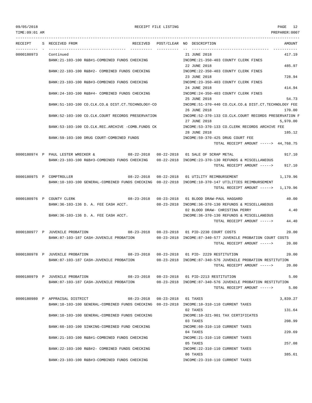TIME:09:01 AM PREPARER:0007 --------------------------------------------------------------------------------------------------------------------------------- RECEIPT S RECEIVED FROM RECEIVED POST/CLEAR NO DESCRIPTION AMOUNT ---------- - ----------------------------------- ---------- ---------- -- ----------------------------------- ----------- 0000180973 Continued 21 JUNE 2018 417.19 BANK:21-103-100 R&B#1-COMBINED FUNDS CHECKING INCOME:21-350-403 COUNTY CLERK FINES 22 JUNE 2018 485.97 BANK:22-103-100 R&B#2- COMBINED FUNDS CHECKING INCOME:22-350-403 COUNTY CLERK FINES 23 JUNE 2018 2018 23 JUNE 2018 BANK:23-103-100 R&B#3-COMBINED FUNDS CHECKING INCOME:23-350-403 COUNTY CLERK FINES 24 JUNE 2018 414.94 BANK:24-103-100 R&B#4- COMBINED FUNDS CHECKING INCOME:24-350-403 COUNTY CLERK FINES 25 JUNE 2018 54.73 BANK:51-103-100 CO.CLK.CO.& DIST.CT.TECHNOLOGY-CO INCOME:51-370-440 CO.CLK.CO.& DIST.CT.TECHNOLOGY FEE 26 JUNE 2018 170.00 BANK:52-103-100 CO.CLK.COURT RECORDS PRESERVATION INCOME:52-370-133 CO.CLK.COURT RECORDS PRESERVATION F 27 JUNE 2018 5,970.00 BANK:53-103-100 CO.CLK.REC.ARCHIVE -COMB.FUNDS CK INCOME:53-370-133 CO.CLERK RECORDS ARCHIVE FEE 28 JUNE 2018 185.12 BANK:59-103-100 DRUG COURT-COMBINED FUNDS INCOME:59-370-425 DRUG COURT FEE TOTAL RECEIPT AMOUNT -----> 44,768.75 0000180974 P PAUL LESTER WRECKER & 08-22-2018 08-22-2018 01 SALE OF SCRAP METAL 917.10 BANK:23-103-100 R&B#3-COMBINED FUNDS CHECKING 08-22-2018 INCOME:23-370-130 REFUNDS & MISCELLANEOUS TOTAL RECEIPT AMOUNT -----> 917.10 0000180975 P COMPTROLLER 08-22-2018 08-22-2018 01 UTILITY REIMBURSEMENT 1,170.96 BANK:10-103-100 GENERAL-COMBINED FUNDS CHECKING 08-22-2018 INCOME:10-370-147 UTILITIES REIMBURSEMENT TOTAL RECEIPT AMOUNT -----> 1,170.96 0000180976 P COUNTY CLERK  $08-23-2018$  08-23-2018 08-23-2018 01 BLOOD DRAW-PAUL HAGGARD 40.00 BANK:36-103-136 D. A. FEE CASH ACCT. 08-23-2018 INCOME:36-370-130 REFUNDS & MISCELLANEOUS 02 BLOOD DRAW- CHRISTINA PERRY 4.40 BANK:36-103-136 D. A. FEE CASH ACCT. IN THE CASH ACCHANG STRAIN AND REFUNDS & MISCELLANEOUS TOTAL RECEIPT AMOUNT -----> 44.40 0000180977 P JUVENILE PROBATION 08-23-2018 08-23-2018 01 PID-2230 COURT COSTS 20.00 BANK:87-103-187 CASH-JUVENILE PROBATION 08-23-2018 INCOME:87-340-577 JUVENILE PROBATION COURT COSTS TOTAL RECEIPT AMOUNT -----> 20.00 0000180978 P JUVENILE PROBATION 08-23-2018 08-23-2018 01 PID- 2229 RESTITUTION 20.00 BANK:87-103-187 CASH-JUVENILE PROBATION 08-23-2018 INCOME:87-340-576 JUVENILE PROBATION RESTITUTION TOTAL RECEIPT AMOUNT -----> 20.00 0000180979 P JUVENILE PROBATION 08-23-2018 08-23-2018 01 PID-2213 RESTITUTION 5.00 BANK:87-103-187 CASH-JUVENILE PROBATION 08-23-2018 INCOME:87-340-576 JUVENILE PROBATION RESTITUTION TOTAL RECEIPT AMOUNT -----> 5.00 0000180980 P APPRAISAL DISTRICT 08-23-2018 08-23-2018 01 TAXES 3,839.27 BANK:10-103-100 GENERAL-COMBINED FUNDS CHECKING 08-23-2018 INCOME:10-310-110 CURRENT TAXES 02 TAXES 131.64 BANK:10-103-100 GENERAL-COMBINED FUNDS CHECKING INCOME:10-321-901 TAX CERTIFICATES 03 TAXES 208.99 BANK:60-103-100 SINKING-COMBINED FUND CHECKING INCOME:60-310-110 CURRENT TAXES 04 TAXES 220.69 BANK:21-103-100 R&B#1-COMBINED FUNDS CHECKING INCOME:21-310-110 CURRENT TAXES 05 TAXES 257.08 BANK:22-103-100 R&B#2- COMBINED FUNDS CHECKING INCOME:22-310-110 CURRENT TAXES 06 TAXES 385.61 BANK:23-103-100 R&B#3-COMBINED FUNDS CHECKING INCOME:23-310-110 CURRENT TAXES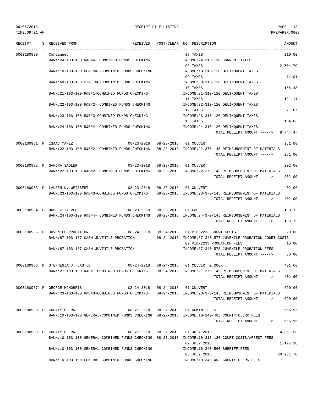TIME:09:01 AM PREPARER:0007 --------------------------------------------------------------------------------------------------------------------------------- RECEIPT S RECEIVED FROM THE RECEIVED POST/CLEAR NO DESCRIPTION THE RECEIVED AMOUNT ---------- - ----------------------------------- ---------- ---------- -- ----------------------------------- ----------- 0000180980 Continued 07 TAXES 219.50 BANK:24-103-100 R&B#4- COMBINED FUNDS CHECKING INCOME:24-310-110 CURRENT TAXES 08 TAXES 2,704.79 BANK:10-103-100 GENERAL-COMBINED FUNDS CHECKING INCOME:10-310-120 DELINQUENT TAXES 09 TAXES 14.01 BANK:60-103-100 SINKING-COMBINED FUND CHECKING INCOME:60-310-120 DELINOUENT TAXES 10 TAXES 155.48 BANK:21-103-100 R&B#1-COMBINED FUNDS CHECKING INCOME:21-310-120 DELINOUENT TAXES 11 TAXES 181.11 BANK:22-103-100 R&B#2- COMBINED FUNDS CHECKING INCOME:22-310-120 DELINQUENT TAXES 12 TAXES 271.67 BANK:23-103-100 R&B#3-COMBINED FUNDS CHECKING INCOME:23-310-120 DELINQUENT TAXES 13 TAXES 154.63 BANK:24-103-100 R&B#4- COMBINED FUNDS CHECKING INCOME:24-310-120 DELINQUENT TAXES TOTAL RECEIPT AMOUNT -----> 8,744.47 0000180981 P ISAAC YANEZ 08-23-2018 08-23-2018 01 CULVERT 251.00 BANK:22-103-100 R&B#2- COMBINED FUNDS CHECKING 08-23-2018 INCOME:22-370-145 REIMBURSEMENT OF MATERIALS TOTAL RECEIPT AMOUNT -----> 251.00 0000180982 P SANDRA SADLER 08-23-2018 08-23-2018 01 CULVERT 202.00 BANK:22-103-100 R&B#2- COMBINED FUNDS CHECKING 08-23-2018 INCOME:22-370-145 REIMBURSEMENT OF MATERIALS TOTAL RECEIPT AMOUNT -----> 202.00 0000180983 P LAUREN N. WEISSERT 08-23-2018 08-23-2018 01 CULVERT 402.00 BANK:23-103-100 R&B#3-COMBINED FUNDS CHECKING 08-23-2018 INCOME:23-370-145 REIMBURSEMENT OF MATERIALS TOTAL RECEIPT AMOUNT -----> 402.00 0000180984 P DODD CITY VFD  $08-23-2018$  08-23-2018 01 FUEL 103.73 BANK:24-103-100 R&B#4- COMBINED FUNDS CHECKING 08-23-2018 INCOME:24-370-145 REIMBURSEMENT OF MATERIALS TOTAL RECEIPT AMOUNT -----> 103.73 0000180985 P JUVENILE PROBATION 08-24-2018 08-24-2018 01 PID-2233 COURT COSTS 20.00 BANK:87-103-187 CASH-JUVENILE PROBATION 08-24-2018 INCOME:87-340-577 JUVENILE PROBATION COURT COSTS 02 PID-2233 PROBATION FEES 10.00 BANK:87-103-187 CASH-JUVENILE PROBATION INCOME:87-340-575 JUVENILE PROBATION FEES TOTAL RECEIPT AMOUNT -----> 30.00 0000180986 P STEPHENIA J. CASTLE 08-24-2018 08-24-2018 01 CULVERT & ROCK 401.60 BANK:21-103-100 R&B#1-COMBINED FUNDS CHECKING 08-24-2018 INCOME:21-370-145 REIMBURSEMENT OF MATERIALS TOTAL RECEIPT AMOUNT -----> 401.60 0000180987 P GEORGE MCMORRIS 08-24-2018 08-24-2018 01 CULVERT 620.00 BANK:23-103-100 R&B#3-COMBINED FUNDS CHECKING 08-24-2018 INCOME:23-370-145 REIMBURSEMENT OF MATERIALS  $TOTAI$ , RECEIPT AMOUNT  $--- 5$  620.00 0000180988 P COUNTY CLERK 656.95 (68-27-2018 08-27-2018 01 ADMIN. FEES 656.95 BANK:10-103-100 GENERAL-COMBINED FUNDS CHECKING 08-27-2018 INCOME:10-340-403 COUNTY CLERK FEES TOTAL RECEIPT AMOUNT -----> 656.95 0000180989 P COUNTY CLERK COUNTY CLERING CONTROL CONTROL CONTROL CONTROL OF 27-2018 08-27-2018 01 JULY 2018 COUNTY 4,351.58 BANK:10-103-100 GENERAL-COMBINED FUNDS CHECKING 08-27-2018 INCOME:10-318-130 COURT COSTS/ARREST FEES 02 JULY 2018 1,177.18 BANK:10-103-100 GENERAL-COMBINED FUNDS CHECKING INCOME:10-340-560 SHERIFF FEES 03 JULY 2018 20,981.70

BANK:10-103-100 GENERAL-COMBINED FUNDS CHECKING INCOME:10-340-403 COUNTY CLERK FEES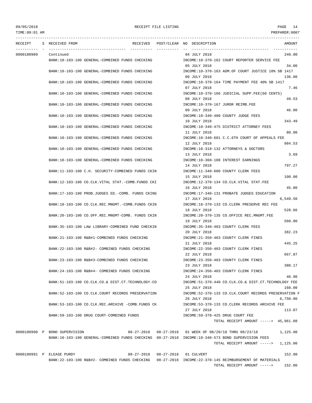--------------------------------------------------------------------------------------------------------------------------------- RECEIPT S RECEIVED FROM THE RECEIVED POST/CLEAR NO DESCRIPTION THE RECEIVED AMOUNT ---------- - ----------------------------------- ---------- ---------- -- ----------------------------------- ----------- 0000180989 Continued 04 JULY 2018 240.00 BANK:10-103-100 GENERAL-COMBINED FUNDS CHECKING INCOME:10-370-162 COURT REPORTER SERVICE FEE 05 JULY 2018 34.00 BANK:10-103-100 GENERAL-COMBINED FUNDS CHECKING INCOME:10-370-163 ADM.OF COURT JUSTICE 10% SB 1417 06 JULY 2018 136.00 BANK:10-103-100 GENERAL-COMBINED FUNDS CHECKING INCOME:10-370-164 TIME PAYMENT FEE 40% SB 1417 07.46 BANK:10-103-100 GENERAL-COMBINED FUNDS CHECKING INCOME:10-370-166 JUDICIAL SUPP.FEE(60 CENTS) 08 JULY 2018 49.53 BANK:10-103-100 GENERAL-COMBINED FUNDS CHECKING INCOME:10-370-167 JUROR REIMB.FEE 09 JULY 2018 46.00 BANK:10-103-100 GENERAL-COMBINED FUNDS CHECKING  $\qquad \qquad \text{INCOME}: 10-340-400 \qquad \text{COUNTY JUDGE FEES}$ 10 JULY 2018 343.49 BANK:10-103-100 GENERAL-COMBINED FUNDS CHECKING INCOME:10-340-475 DISTRICT ATTORNEY FEES 11 JULY 2018 80.00 BANK:10-103-100 GENERAL-COMBINED FUNDS CHECKING INCOME:10-340-601 C.C.6TH COURT OF APPEALS FEE 12 JULY 2018 984.53 BANK:10-103-100 GENERAL-COMBINED FUNDS CHECKING INCOME:10-318-132 ATTORNEYS & DOCTORS 13 JULY 2018 3.69 BANK:10-103-100 GENERAL-COMBINED FUNDS CHECKING INCOME:10-360-100 INTEREST EARNINGS 14 JULY 2018 797.27 BANK:11-103-100 C.H. SECURITY-COMBINED FUNDS CKIN INCOME:11-340-600 COUNTY CLERK FEES 15 JULY 2018 100.00 BANK:12-103-100 CO.CLK.VITAL STAT.-COMB.FUNDS CKI INCOME:12-370-134 CO.CLK.VITAL STAT.FEE 16 JULY 2018 45.00 BANK:17-103-100 PROB.JUDGES ED.-COMB. FUNDS CKING INCOME:17-340-131 PROBATE JUDGES EDUCATION 17 JULY 2018 6,549.50 BANK:18-103-100 CO.CLK.REC.MNGMT.-COMB.FUNDS CKIN INCOME:18-370-133 CO.CLERK PRESERVE REC FEE 18 JULY 2018 528.66 BANK:20-103-100 CO.OFF.REC.MNGMT-COMB. FUNDS CKIN INCOME:20-370-135 CO.OFFICE REC.MNGMT.FEE 19 JULY 2018 560.00 BANK:35-103-100 LAW LIBRARY-COMBINED FUND CHECKIN INCOME:35-340-403 COUNTY CLERK FEES 20 JULY 2018 382.23 BANK:21-103-100 R&B#1-COMBINED FUNDS CHECKING INCOME:21-350-403 COUNTY CLERK FINES 21 JULY 2018 445.25 BANK:22-103-100 R&B#2- COMBINED FUNDS CHECKING INCOME:22-350-403 COUNTY CLERK FINES 22 JULY 2018 667.87 BANK:23-103-100 R&B#3-COMBINED FUNDS CHECKING INCOME:23-350-403 COUNTY CLERK FINES 23 JULY 2018 380.17 BANK:24-103-100 R&B#4- COMBINED FUNDS CHECKING INCOME:24-350-403 COUNTY CLERK FINES 24 JULY 2018 46.90 BANK:51-103-100 CO.CLK.CO.& DIST.CT.TECHNOLOGY-CO INCOME:51-370-440 CO.CLK.CO.& DIST.CT.TECHNOLOGY FEE 25 JULY 2018 160.00 BANK:52-103-100 CO.CLK.COURT RECORDS PRESERVATION INCOME:52-370-133 CO.CLK.COURT RECORDS PRESERVATION F 26 JULY 2018 6,750.00 BANK:53-103-100 CO.CLK.REC.ARCHIVE -COMB.FUNDS CK INCOME:53-370-133 CO.CLERK RECORDS ARCHIVE FEE 27 JULY 2018 113.07 BANK:59-103-100 DRUG COURT-COMBINED FUNDS INCOME:59-370-425 DRUG COURT FEE TOTAL RECEIPT AMOUNT -----> 45,961.08 0000180990 P BOND SUPERVISION 08-27-2018 08-27-2018 01 WEEK OF 08/20/18 THRU 08/23/18 1,125.00 BANK:10-103-100 GENERAL-COMBINED FUNDS CHECKING 08-27-2018 INCOME:10-340-573 BOND SUPERVISION FEES TOTAL RECEIPT AMOUNT -----> 1,125.00 0000180991 P ELEASE PURDY 08-27-2018 08-27-2018 01 CULVERT 152.00

BANK:22-103-100 R&B#2- COMBINED FUNDS CHECKING 08-27-2018 INCOME:22-370-145 REIMBURSEMENT OF MATERIALS TOTAL RECEIPT AMOUNT -----> 152.00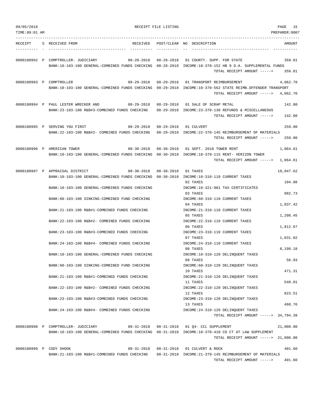| 09/05/2018     |                                                                                                                                                                                       | RECEIPT FILE LISTING | PAGE<br>15                                                                                                                                                                                       |
|----------------|---------------------------------------------------------------------------------------------------------------------------------------------------------------------------------------|----------------------|--------------------------------------------------------------------------------------------------------------------------------------------------------------------------------------------------|
| TIME: 09:01 AM |                                                                                                                                                                                       |                      | PREPARER: 0007                                                                                                                                                                                   |
| RECEIPT        | S RECEIVED FROM                                                                                                                                                                       |                      | RECEIVED POST/CLEAR NO DESCRIPTION<br>AMOUNT                                                                                                                                                     |
|                | 0000180992 P COMPTROLLER- JUDICIARY<br>$08 - 28 - 2018$ $08 - 28 - 2018$<br>BANK:10-103-100 GENERAL-COMBINED FUNDS CHECKING 08-28-2018 INCOME:10-370-152 HB 9 D.A. SUPPLEMENTAL FUNDS |                      | 01 COUNTY. SUPP. FOR STATE<br>359.81                                                                                                                                                             |
|                |                                                                                                                                                                                       |                      | TOTAL RECEIPT AMOUNT -----><br>359.81                                                                                                                                                            |
|                | $08 - 29 - 2018$<br>0000180993 P COMPTROLLER                                                                                                                                          | $08 - 29 - 2018$     | 01 TRANSPORT REIMBURSEMENT<br>4,062.70<br>BANK:10-103-100 GENERAL-COMBINED FUNDS CHECKING 08-29-2018 INCOME:10-370-562 STATE REIMB.OFFENDER TRANSPORT<br>TOTAL RECEIPT AMOUNT -----><br>4,062.70 |
|                |                                                                                                                                                                                       |                      |                                                                                                                                                                                                  |
|                | 0000180994 P PAUL LESTER WRECKER AND 08-29-2018<br>BANK:23-103-100 R&B#3-COMBINED FUNDS CHECKING                                                                                      |                      | 08-29-2018 01 SALE OF SCRAP METAL<br>142.80<br>08-29-2018 INCOME:23-370-130 REFUNDS & MISCELLANEOUS<br>TOTAL RECEIPT AMOUNT ----->                                                               |
|                |                                                                                                                                                                                       |                      | 142.80                                                                                                                                                                                           |
|                | 0000180995 P SERVING YOU FIRST<br>08-29-2018<br>BANK:22-103-100 R&B#2- COMBINED FUNDS CHECKING 08-29-2018 INCOME:22-370-145 REIMBURSEMENT OF MATERIALS                                |                      | 259.00<br>08-29-2018 01 CULVERT<br>259.00<br>TOTAL RECEIPT AMOUNT ----->                                                                                                                         |
|                | 0000180996 P AMERICAN TOWER                                                                                                                                                           |                      | 08-30-2018  08-30-2018  01 SEPT. 2018  TOWER RENT<br>1,064.61                                                                                                                                    |
|                | BANK:10-103-100 GENERAL-COMBINED FUNDS CHECKING 08-30-2018 INCOME:10-370-115 RENT- VERIZON TOWER                                                                                      |                      | TOTAL RECEIPT AMOUNT -----> 1,064.61                                                                                                                                                             |
|                | 0000180997 P APPRAISAL DISTRICT<br>08-30-2018                                                                                                                                         | $08 - 30 - 2018$     | 01 TAXES<br>18,047.62                                                                                                                                                                            |
|                | BANK:10-103-100 GENERAL-COMBINED FUNDS CHECKING 08-30-2018 INCOME:10-310-110 CURRENT TAXES                                                                                            |                      | 02 TAXES<br>104.98                                                                                                                                                                               |
|                | BANK:10-103-100 GENERAL-COMBINED FUNDS CHECKING                                                                                                                                       |                      | INCOME:10-321-901 TAX CERTIFICATES                                                                                                                                                               |
|                | BANK:60-103-100 SINKING-COMBINED FUND CHECKING                                                                                                                                        |                      | 982.73<br>03 TAXES<br>INCOME: 60-310-110 CURRENT TAXES                                                                                                                                           |
|                | BANK: 21-103-100 R&B#1-COMBINED FUNDS CHECKING                                                                                                                                        |                      | 04 TAXES<br>1,037.42<br>INCOME: 21-310-110 CURRENT TAXES                                                                                                                                         |
|                | BANK:22-103-100 R&B#2- COMBINED FUNDS CHECKING                                                                                                                                        |                      | 1,208.45<br>05 TAXES<br>INCOME: 22-310-110 CURRENT TAXES                                                                                                                                         |
|                | BANK: 23-103-100 R&B#3-COMBINED FUNDS CHECKING                                                                                                                                        |                      | 06 TAXES<br>1,812.67<br>INCOME: 23-310-110 CURRENT TAXES                                                                                                                                         |
|                | BANK:24-103-100 R&B#4- COMBINED FUNDS CHECKING                                                                                                                                        |                      | 07 TAXES<br>1,031.82<br>INCOME: 24-310-110 CURRENT TAXES                                                                                                                                         |
|                | BANK:10-103-100 GENERAL-COMBINED FUNDS CHECKING                                                                                                                                       |                      | 8,199.18<br>08 TAXES<br>INCOME:10-310-120 DELINQUENT TAXES                                                                                                                                       |
|                | BANK:60-103-100 SINKING-COMBINED FUND CHECKING                                                                                                                                        |                      | 09 TAXES<br>56.93<br>INCOME: 60-310-120 DELINOUENT TAXES                                                                                                                                         |
|                | BANK: 21-103-100 R&B#1-COMBINED FUNDS CHECKING                                                                                                                                        |                      | 471.31<br>10 TAXES<br>INCOME: 21-310-120 DELINQUENT TAXES                                                                                                                                        |
|                | BANK: 22-103-100 R&B#2- COMBINED FUNDS CHECKING                                                                                                                                       |                      | 549.01<br>11 TAXES<br>INCOME: 22-310-120 DELINQUENT TAXES                                                                                                                                        |
|                | BANK: 23-103-100 R&B#3-COMBINED FUNDS CHECKING                                                                                                                                        |                      | 12 TAXES<br>823.51<br>INCOME: 23-310-120 DELINQUENT TAXES                                                                                                                                        |
|                | BANK: 24-103-100 R&B#4- COMBINED FUNDS CHECKING                                                                                                                                       |                      | 468.76<br>13 TAXES<br>INCOME: 24-310-120 DELINOUENT TAXES<br>TOTAL RECEIPT AMOUNT -----> 34,794.39                                                                                               |
|                | 0000180998 P COMPTROLLER- JUDICIARY<br>08-31-2018                                                                                                                                     |                      | 08-31-2018 01 04- CCL SUPPLEMENT<br>21,000.00                                                                                                                                                    |
|                | BANK:10-103-100 GENERAL-COMBINED FUNDS CHECKING 08-31-2018 INCOME:10-370-410 CO CT AT LAW SUPPLEMENT                                                                                  |                      | TOTAL RECEIPT AMOUNT -----> 21,000.00                                                                                                                                                            |
|                | $08 - 31 - 2018$<br>0000180999 P CODY SHOOK                                                                                                                                           |                      | 08-31-2018 01 CULVERT & ROCK<br>401.60                                                                                                                                                           |
|                | BANK: 21-103-100 R&B#1-COMBINED FUNDS CHECKING                                                                                                                                        |                      | 08-31-2018 INCOME:21-370-145 REIMBURSEMENT OF MATERIALS<br>TOTAL RECEIPT AMOUNT -----><br>401.60                                                                                                 |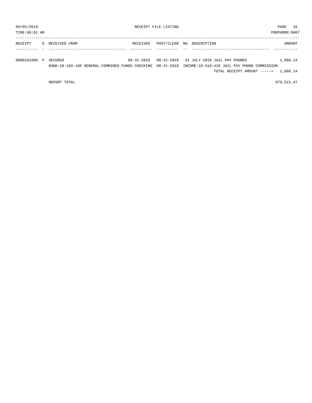| 09/05/2018<br>TIME: 09:01 AM |   |                 |                                                            |                  | RECEIPT FILE LISTING |                   |                                                                                                                                | PAGE<br>PREPARER: 0007 | 16       |
|------------------------------|---|-----------------|------------------------------------------------------------|------------------|----------------------|-------------------|--------------------------------------------------------------------------------------------------------------------------------|------------------------|----------|
| RECEIPT                      |   | S RECEIVED FROM |                                                            | RECEIVED         | POST/CLEAR           | DESCRIPTION<br>NO |                                                                                                                                |                        | AMOUNT   |
| 0000181000                   | P | SECURUS         | BANK:10-103-100 GENERAL-COMBINED FUNDS CHECKING 08-31-2018 | $08 - 31 - 2018$ |                      |                   | 08-31-2018 01 JULY 2018 JAIL PAY PHONES<br>INCOME:10-319-420 JAIL PAY PHONE COMMISSION<br>TOTAL RECEIPT AMOUNT -----> 1,886.14 |                        | 1,886.14 |

REPORT TOTAL 679,521.47